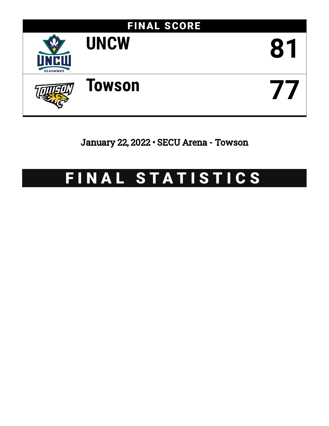

January 22, 2022 • SECU Arena - Towson

# FINAL STATISTICS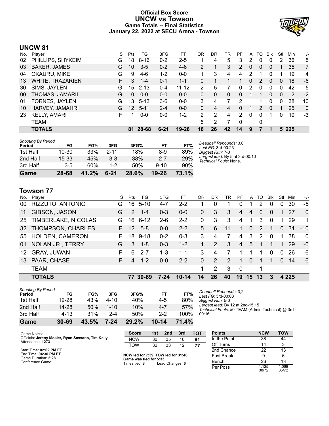# **Official Box Score UNCW vs Towson Game Totals -- Final Statistics January 22, 2022 at SECU Arena - Towson**



# **UNCW 81**

|     | <b>TOTALS</b>           |    | 81              | 28-68    | $6 - 21$ | $19 - 26$ | 16 | 26 | 42 | 14             | 9        |                |              |              | 5 2 2 5 |                |
|-----|-------------------------|----|-----------------|----------|----------|-----------|----|----|----|----------------|----------|----------------|--------------|--------------|---------|----------------|
|     | TEAM                    |    |                 |          |          |           | 5  | 2  |    | $\Omega$       |          | 0              |              |              |         |                |
| 23  | <b>KELLY, AMARI</b>     | F. |                 | $0 - 0$  | 0-0      | $1 - 2$   | 2  | 2  | 4  | $\overline{2}$ | $\Omega$ | 0              |              | 0            | 10      | -3             |
| 10  | HARVEY, JAMAHRI         | G  | 12 <sup>2</sup> | $5 - 11$ | $2 - 4$  | $0 - 0$   | 0  | 4  | 4  | 0              |          | 2              | $\Omega$     |              | 25      | $\mathbf{0}$   |
| 01  | FORNES, JAYLEN          | G  | 13              | $5 - 13$ | $3-6$    | $0-0$     | 3  | 4  |    | 2              |          |                | 0            | 0            | 38      | 10             |
| 00  | THOMAS, JAMARII         | G  | 0               | $0 - 0$  | $0 - 0$  | $0 - 0$   | 0  | 0  | 0  | 0              |          |                | $\Omega$     | 0            | 2       | $-2$           |
| 30  | SIMS, JAYLEN            | G  | 15              | $2 - 13$ | $0 - 4$  | $11 - 12$ | 2  | 5  | 7  | $\Omega$       | 2        | 0              | $\Omega$     | $\Omega$     | 42      | 5              |
| 13  | <b>WHITE, TRAZARIEN</b> | F. | 3               | $1 - 4$  | $0 - 1$  | $1 - 1$   | 0  | 1  |    | 1              | 0        | 2              | $\mathbf{0}$ | $\mathbf{0}$ | 18      | -6             |
| 04  | OKAURU, MIKE            | G  | 9               | $4-6$    | $1-2$    | $0 - 0$   |    | 3  | 4  | 4              | 2        |                |              | 1            | 19      | 4              |
| 03  | <b>BAKER, JAMES</b>     | G  | 10              | $3 - 5$  | $0 - 2$  | $4-6$     | 2  | 1  | 3  | $\overline{2}$ | 0        | $\overline{0}$ | 0            |              | 35      | $\overline{7}$ |
| 02  | PHILLIPS, SHYKEIM       | G  | 18              | $8 - 16$ | $0 - 2$  | $2 - 5$   |    | 4  | 5  | 3              | 2        | 0              | 0            | 2            | 36      | 5              |
| No. | Player                  | S  | Pts             | FG.      | 3FG      | FT        | ΟR | DR | TR | РF             | A        | TO             | <b>B</b> lk  | Stl          | Min     | $+/-$          |

| <b>Shooting By Period</b><br>Period | FG        | FG%   | 3FG      | 3FG%  | FT        | FT%   | Deadball Rebounds: 3,0<br>Last $FG: 3rd-00:23$            |
|-------------------------------------|-----------|-------|----------|-------|-----------|-------|-----------------------------------------------------------|
| 1st Half                            | $10 - 30$ | 33%   | $2 - 11$ | 18%   | $8-9$     | 89%   | Biggest Run: 7-0                                          |
| 2nd Half                            | 15 33     | 45%   | $3 - 8$  | 38%   | $2 - 7$   | 29%   | Largest lead: By 5 at 3rd-00:10<br>Technical Fouls: None. |
| 3rd Half                            | $3 - 5$   | 60%   | 1-2      | 50%   | $9 - 10$  | 90%   |                                                           |
| Game                                | 28-68     | 41.2% | $6 - 21$ | 28.6% | $19 - 26$ | 73.1% |                                                           |

# **Towson 77**

| No.             | Player                     | S  | Pts           | FG.      | 3FG     | FT        | OR           | DR.           | TR | PF  | A        | TO             | <b>Blk</b>     | Stl      | Min     | $+/-$       |
|-----------------|----------------------------|----|---------------|----------|---------|-----------|--------------|---------------|----|-----|----------|----------------|----------------|----------|---------|-------------|
| 00              | RIZZUTO, ANTONIO           | G  | 16            | $5 - 10$ | $4 - 7$ | $2 - 2$   |              | 0             |    | 0   |          | 2              | 0              | 0        | 30      | -5          |
| 11              | GIBSON, JASON              | G  | $\mathcal{P}$ | $1 - 4$  | $0 - 3$ | $0-0$     | $\mathbf{0}$ | 3             | 3  | 4   | 4        | $\overline{0}$ | $\overline{0}$ |          | 27      | $\Omega$    |
| 25              | <b>TIMBERLAKE, NICOLAS</b> | G  | 16            | $6 - 12$ | $2 - 6$ | $2 - 2$   | $\Omega$     | 3             | 3  | 4   | 1.       | 3              | $\Omega$       | 1        | 29      | $\mathbf 1$ |
| 32              | THOMPSON, CHARLES          | F. | 12            | $5 - 8$  | $0 - 0$ | $2 - 2$   | 5            | 6             | 11 | 1   | $\Omega$ | $\mathcal{P}$  | 1              | $\Omega$ | -31     | $-10$       |
|                 | 55 HOLDEN, CAMERON         | F. | 18            | $9 - 18$ | $0 - 2$ | $0 - 3$   | 3            | 4             |    | 4   | 3        | $\mathcal{P}$  | $\Omega$       |          | 38      | $\Omega$    |
| 01              | <b>NOLAN JR., TERRY</b>    | G  | 3             | $1 - 8$  | $0 - 3$ | $1 - 2$   |              | $\mathcal{P}$ | 3  | 4   | 5        | 1              |                | 1        | 29      | -6          |
| 12 <sup>1</sup> | <b>GRAY, JUWAN</b>         | F. | 6             | $2 - 7$  | $1 - 3$ | 1-1       | 3            | 4             |    |     |          |                | $\Omega$       | $\Omega$ | 26      | -6          |
| 13              | PAAR, CHASE                | F  | 4             | $1 - 2$  | $0 - 0$ | $2 - 2$   | $\Omega$     | 2             | 2  | 1   | $\Omega$ | 1              | 1              | $\Omega$ | 14      | 6           |
|                 | <b>TEAM</b>                |    |               |          |         |           | 1            | 2             | 3  | - 0 |          | 1              |                |          |         |             |
|                 | <b>TOTALS</b>              |    |               | 77 30-69 | $7-24$  | $10 - 14$ | 14           | 26            | 40 | 19  | 15       | 13             | 3              |          | 4 2 2 5 |             |

| Game                                | 30-69     | 43.5% | 7-24     | 29.2% | 10-14   | 71.4% |
|-------------------------------------|-----------|-------|----------|-------|---------|-------|
| 3rd Half                            | 4-13      | 31%   | 2-4      | 50%   | $2 - 2$ | 100%  |
| 2nd Half                            | 14-28     | 50%   | $1 - 10$ | 10%   | $4 - 7$ | 57%   |
| 1st Half                            | $12 - 28$ | 43%   | 4-10     | 40%   | 4-5     | 80%   |
| <b>Shooting By Period</b><br>Period | FG        | FG%   | 3FG      | 3FG%  | FT      | FT%   |

*Deadball Rebounds:* 3,2 *Last FG:* 3rd-00:03 *Biggest Run:* 5-0 *Largest lead:* By 12 at 2nd-15:15 *Technical Fouls:* #0 TEAM (Admin Technical) @ 3rd - 00:16;

| Game Notes:                                                           | <b>Score</b>                                    | 1st | 2nd             | 3rd | <b>TOT</b> | <b>Points</b>     | <b>NCW</b>     | <b>TOW</b>     |
|-----------------------------------------------------------------------|-------------------------------------------------|-----|-----------------|-----|------------|-------------------|----------------|----------------|
| Officials: Jereny Mosier, Ryan Sassano, Tim Kelly<br>Attendance: 1273 | <b>NCW</b>                                      | 30  | 35              | 16  | 81         | In the Paint      | 38             | 44             |
|                                                                       | <b>TOW</b>                                      | 32  | 33              | 12  | 77         | Off Turns         | 14             |                |
| Start Time: 02:02 PM ET                                               |                                                 |     |                 |     |            | 2nd Chance        | 22             | 13             |
| End Time: 04:30 PM ET<br>Game Duration: 2:28                          | NCW led for 7:39. TOW led for 31:48.            |     |                 |     |            | <b>Fast Break</b> |                |                |
| Conference Game:                                                      | Game was tied for 5:33.<br>Times tied: <b>8</b> |     | Lead Changes: 6 |     |            | Bench             | 26             | 13             |
|                                                                       |                                                 |     |                 |     |            | Per Poss          | 1.125<br>38/72 | 1.069<br>35/72 |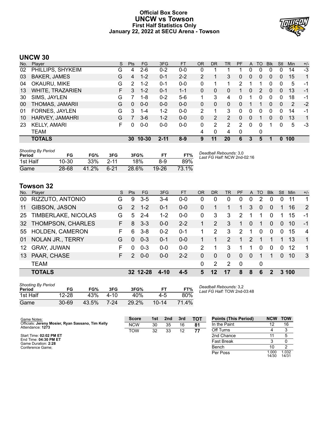# **Official Box Score UNCW vs Towson First Half Statistics Only January 22, 2022 at SECU Arena - Towson**



# **UNCW 30**

| No. | Plaver              | S  | <b>Pts</b>   | <b>FG</b> | 3FG      | <b>FT</b> | <b>OR</b> | <b>DR</b> | TR            | PF | A        | TO            | <b>B</b> lk | Stl      | Min | $+/-$       |
|-----|---------------------|----|--------------|-----------|----------|-----------|-----------|-----------|---------------|----|----------|---------------|-------------|----------|-----|-------------|
| 02  | PHILLIPS, SHYKEIM   | G  | 4            | $2-6$     | $0 - 2$  | $0-0$     | 0         |           |               |    | 0        | 0             | 0           | 0        | 14  | $-3$        |
| 03  | <b>BAKER, JAMES</b> | G  | 4            | $1 - 2$   | $0 - 1$  | $2 - 2$   | 2         |           | 3             | 0  | $\Omega$ | 0             | $\Omega$    | $\Omega$ | 15  | 1           |
| 04  | OKAURU, MIKE        | G  | 2            | $1-2$     | $0 - 1$  | $0-0$     | 0         |           |               | 2  |          |               | 0           | 0        | 5   | -1          |
| 13  | WHITE, TRAZARIEN    | F. | 3            | $1 - 2$   | $0 - 1$  | 1-1       | 0         | 0         | 0             |    | 0        | $\mathcal{P}$ | 0           | 0        | 13  | $-1$        |
| 30  | SIMS, JAYLEN        | G  |              | 1-8       | $0 - 2$  | $5-6$     | 1         | 3         | 4             | 0  |          | 0             | 0           | 0        | 18  | -1          |
| 00  | THOMAS, JAMARII     | G  | $\mathbf{0}$ | $0 - 0$   | $0 - 0$  | $0 - 0$   | 0         | 0         | 0             | 0  |          |               | 0           | $\Omega$ | 2   | $-2$        |
| 01  | FORNES, JAYLEN      | G  | 3            | $1 - 4$   | $1 - 2$  | $0 - 0$   | 2         |           | 3             | 0  | 0        | 0             | 0           | 0        | 14  | -1          |
| 10  | HARVEY, JAMAHRI     | G  | 7            | $3-6$     | $1 - 2$  | $0 - 0$   | 0         | 2         | $\mathcal{P}$ | 0  | $\Omega$ |               | 0           | 0        | 13  | $\mathbf 1$ |
| 23  | <b>KELLY, AMARI</b> | F  | 0            | $0 - 0$   | $0 - 0$  | $0 - 0$   | 0         | 2         | 2             | 2  | $\Omega$ | 0             | 1           | 0        | 5   | $-3$        |
|     | <b>TEAM</b>         |    |              |           |          |           | 4         | 0         | 4             | 0  |          | 0             |             |          |     |             |
|     | <b>TOTALS</b>       |    | 30           | $10 - 30$ | $2 - 11$ | $8-9$     | 9         | 11        | 20            | 6  | 3        | 5             |             |          | 100 |             |

| <b>Shooting By Period</b><br>Period | FG    | FG%   | 3FG      | 3FG%  | F1      | FT%   | Deadball Rebounds: 3,0<br>Last FG Half: NCW 2nd-02:16 |
|-------------------------------------|-------|-------|----------|-------|---------|-------|-------------------------------------------------------|
| 1st Half                            | 10-30 | 33%   | $2 - 11$ | 18%   | 8-9     | 89%   |                                                       |
| Game                                | 28-68 | 41.2% | 6-21     | 28.6% | $19-26$ | 73.1% |                                                       |

# **Towson 32**

| No. | Plaver              | S. | Pts           | FG       | 3FG     | <b>FT</b> | <b>OR</b> | <b>DR</b>      | TR            | PF            | A             | TO             | <b>B</b> lk | Stl      | Min   | $+/-$          |
|-----|---------------------|----|---------------|----------|---------|-----------|-----------|----------------|---------------|---------------|---------------|----------------|-------------|----------|-------|----------------|
| 00  | RIZZUTO, ANTONIO    | G  | 9             | $3-5$    | 3-4     | $0 - 0$   | $\Omega$  | 0              | 0             | 0             | 0             | 2              | 0           | $\Omega$ | 11    | 1              |
| 11  | GIBSON, JASON       | G  | $\mathcal{P}$ | $1 - 2$  | $0 - 1$ | $0 - 0$   | 0         |                |               | 1             | 3             | $\overline{0}$ | $\Omega$    |          | 16    | 2              |
| 25  | TIMBERLAKE, NICOLAS | G  | 5             | $2 - 4$  | $1 - 2$ | $0 - 0$   | 0         | 3              | 3             | 2             |               |                | $\Omega$    |          | 15    | -1             |
| 32  | THOMPSON, CHARLES   | F. | 8             | $3 - 3$  | $0 - 0$ | $2 - 2$   | 1         | $\overline{2}$ | 3             | 1             | $\Omega$      |                | $\Omega$    | $\Omega$ | 10    | $-1$           |
| 55  | HOLDEN, CAMERON     | F. | 6             | $3 - 8$  | $0 - 2$ | $0 - 1$   |           | 2              | 3             | $\mathcal{P}$ |               | 0              | $\Omega$    | $\Omega$ | 15    | $\overline{4}$ |
| 01  | NOLAN JR., TERRY    | G  | $\Omega$      | $0 - 3$  | $0 - 1$ | $0 - 0$   |           | 1              | $\mathcal{P}$ | 1             | $\mathcal{P}$ |                |             | 1        | 13    | 1              |
| 12  | <b>GRAY, JUWAN</b>  | F  | 0             | $0 - 3$  | $0 - 0$ | $0 - 0$   | 2         |                | 3             |               |               | 0              | $\Omega$    | $\Omega$ | 12    | 1              |
| 13  | PAAR, CHASE         | F. | 2             | $0 - 0$  | $0 - 0$ | $2 - 2$   | 0         | 0              | $\Omega$      | $\Omega$      | $\Omega$      |                |             | $\Omega$ | 10    | 3              |
|     | <b>TEAM</b>         |    |               |          |         |           | $\Omega$  | 2              | 2             | 0             |               | 0              |             |          |       |                |
|     | <b>TOTALS</b>       |    |               | 32 12-28 | 4-10    | $4 - 5$   | 5         | 12             | 17            | 8             | 8             | 6              | 2           |          | 3 100 |                |

| <b>Shooting By Period</b><br>Period | FG        | FG%   | 3FG  | 3FG%  | FТ        | FT%   |
|-------------------------------------|-----------|-------|------|-------|-----------|-------|
| 1st Half                            | $12 - 28$ | 43%   | 4-10 | 40%   | 4-5       | 80%   |
| Game                                | $30 - 69$ | 43.5% | 7-24 | 29.2% | $10 - 14$ | 71.4% |

*Deadball Rebounds:* 3,2 *Last FG Half:* TOW 2nd-03:48

| Game Notes:                                                           | <b>Score</b> | 1st | 2nd | 3rd | TOT | <b>Points (This Period)</b> | <b>NCW</b>     | <b>TOW</b>     |
|-----------------------------------------------------------------------|--------------|-----|-----|-----|-----|-----------------------------|----------------|----------------|
| Officials: Jereny Mosier, Ryan Sassano, Tim Kelly<br>Attendance: 1273 | <b>NCW</b>   | 30  | 35  | 16  | 81  | In the Paint                |                | 16             |
|                                                                       | <b>TOW</b>   | 32  | 33  | 12  | 77  | Off Turns                   |                |                |
| Start Time: 02:02 PM ET                                               |              |     |     |     |     | 2nd Chance                  |                |                |
| End Time: 04:30 PM ET<br>Game Duration: 2:28                          |              |     |     |     |     | <b>Fast Break</b>           |                |                |
| Conference Game:                                                      |              |     |     |     |     | Bench                       | 10             |                |
|                                                                       |              |     |     |     |     | Per Poss                    | 1.000<br>14/30 | 1.032<br>14/31 |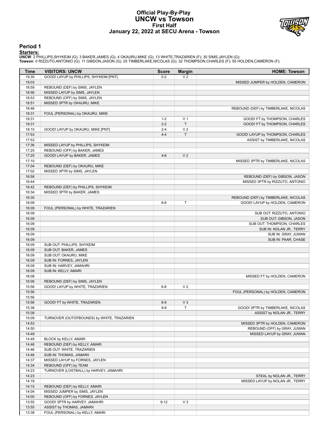# **Official Play-By-Play UNCW vs Towson First Half January 22, 2022 at SECU Arena - Towson**



# **Period 1**

<mark>Starters:</mark><br>UNCW: 2 PHILLIPS,SHYKEIM (G); 3 BAKER,JAMES (G); 4 OKAURU,MIKE (G); 13 WHITE,TRAZARIEN (F); 30 SIMS,JAYLEN (G);<br>Towson: 0 RIZZUTO,ANTONIO (G); 11 GIBSON,JASON (G); 25 TIMBERLAKE,NICOLAS (G); 32 THOMPSON,CHARLES

| Time           | <b>VISITORS: UNCW</b>                                  | <b>Score</b> | <b>Margin</b>  | <b>HOME: Towson</b>                  |
|----------------|--------------------------------------------------------|--------------|----------------|--------------------------------------|
| 19:30          | GOOD! LAYUP by PHILLIPS, SHYKEIM [PNT]                 | $0 - 2$      | V <sub>2</sub> |                                      |
| 19:03          |                                                        |              |                | MISSED JUMPER by HOLDEN, CAMERON     |
| 18:59          | REBOUND (DEF) by SIMS, JAYLEN                          |              |                |                                      |
| 18:56          | MISSED LAYUP by SIMS, JAYLEN                           |              |                |                                      |
| 18:53          | REBOUND (OFF) by SIMS, JAYLEN                          |              |                |                                      |
| 18:51          | MISSED 3PTR by OKAURU, MIKE                            |              |                |                                      |
| 18:46          |                                                        |              |                | REBOUND (DEF) by TIMBERLAKE, NICOLAS |
| 18:31          | FOUL (PERSONAL) by OKAURU, MIKE                        |              |                |                                      |
| 18:31          |                                                        | $1 - 2$      | V <sub>1</sub> | GOOD! FT by THOMPSON, CHARLES        |
| 18:31          |                                                        | $2 - 2$      | $\mathsf{T}$   | GOOD! FT by THOMPSON, CHARLES        |
| 18:15          | GOOD! LAYUP by OKAURU, MIKE [PNT]                      | $2 - 4$      | V <sub>2</sub> |                                      |
| 17:53          |                                                        | $4 - 4$      | T              | GOOD! LAYUP by THOMPSON, CHARLES     |
| 17:53          |                                                        |              |                | ASSIST by TIMBERLAKE, NICOLAS        |
| 17:36          | MISSED LAYUP by PHILLIPS, SHYKEIM                      |              |                |                                      |
| 17:25          | REBOUND (OFF) by BAKER, JAMES                          |              |                |                                      |
| 17:25          | GOOD! LAYUP by BAKER, JAMES                            | $4 - 6$      | V <sub>2</sub> |                                      |
| 17:10          |                                                        |              |                | MISSED 3PTR by TIMBERLAKE, NICOLAS   |
| 17:04          | REBOUND (DEF) by OKAURU, MIKE                          |              |                |                                      |
| 17:02          | MISSED 3PTR by SIMS, JAYLEN                            |              |                |                                      |
| 16:58<br>16:44 |                                                        |              |                | REBOUND (DEF) by GIBSON, JASON       |
| 16:42          | REBOUND (DEF) by PHILLIPS, SHYKEIM                     |              |                | MISSED 3PTR by RIZZUTO, ANTONIO      |
| 16:34          | MISSED 3PTR by BAKER, JAMES                            |              |                |                                      |
| 16:30          |                                                        |              |                | REBOUND (DEF) by TIMBERLAKE, NICOLAS |
| 16:09          |                                                        | $6-6$        | Τ              | GOOD! LAYUP by HOLDEN, CAMERON       |
| 16:09          | FOUL (PERSONAL) by WHITE, TRAZARIEN                    |              |                |                                      |
| 16:09          |                                                        |              |                | SUB OUT: RIZZUTO, ANTONIO            |
| 16:09          |                                                        |              |                | SUB OUT: GIBSON, JASON               |
| 16:09          |                                                        |              |                | SUB OUT: THOMPSON, CHARLES           |
| 16:09          |                                                        |              |                | SUB IN: NOLAN JR., TERRY             |
| 16:09          |                                                        |              |                | SUB IN: GRAY, JUWAN                  |
| 16:09          |                                                        |              |                | SUB IN: PAAR, CHASE                  |
| 16:09          | SUB OUT: PHILLIPS, SHYKEIM                             |              |                |                                      |
| 16:09          | SUB OUT: BAKER, JAMES                                  |              |                |                                      |
| 16:09          | SUB OUT: OKAURU, MIKE                                  |              |                |                                      |
| 16:09          | SUB IN: FORNES, JAYLEN                                 |              |                |                                      |
| 16:09          | SUB IN: HARVEY, JAMAHRI                                |              |                |                                      |
| 16:09          | SUB IN: KELLY, AMARI                                   |              |                |                                      |
| 16:08          |                                                        |              |                | MISSED FT by HOLDEN, CAMERON         |
| 16:06          | REBOUND (DEF) by SIMS, JAYLEN                          |              |                |                                      |
| 15:56          | GOOD! LAYUP by WHITE, TRAZARIEN                        | $6 - 8$      | V <sub>2</sub> |                                      |
| 15:56          |                                                        |              |                | FOUL (PERSONAL) by HOLDEN, CAMERON   |
| 15:56          |                                                        |              |                |                                      |
| 15:56          | GOOD! FT by WHITE, TRAZARIEN                           | $6-9$        | V <sub>3</sub> |                                      |
| 15:38          |                                                        | $9-9$        |                | GOOD! 3PTR by TIMBERLAKE, NICOLAS    |
| 15:38          |                                                        |              |                | ASSIST by NOLAN JR., TERRY           |
| 15:09          | TURNOVER (OUTOFBOUNDS) by WHITE, TRAZARIEN             |              |                |                                      |
| 14:53          |                                                        |              |                | MISSED 3PTR by HOLDEN, CAMERON       |
| 14:50          |                                                        |              |                | REBOUND (OFF) by GRAY, JUWAN         |
| 14:49<br>14:49 |                                                        |              |                | MISSED LAYUP by GRAY, JUWAN          |
| 14:46          | BLOCK by KELLY, AMARI<br>REBOUND (DEF) by KELLY, AMARI |              |                |                                      |
| 14:46          | SUB OUT: WHITE, TRAZARIEN                              |              |                |                                      |
| 14:46          | SUB IN: THOMAS, JAMARII                                |              |                |                                      |
| 14:37          | MISSED LAYUP by FORNES, JAYLEN                         |              |                |                                      |
| 14:34          | REBOUND (OFF) by TEAM                                  |              |                |                                      |
| 14:23          | TURNOVER (LOSTBALL) by HARVEY, JAMAHRI                 |              |                |                                      |
| 14:23          |                                                        |              |                | STEAL by NOLAN JR., TERRY            |
| 14:18          |                                                        |              |                | MISSED LAYUP by NOLAN JR., TERRY     |
| 14:15          | REBOUND (DEF) by KELLY, AMARI                          |              |                |                                      |
| 14:04          | MISSED JUMPER by SIMS, JAYLEN                          |              |                |                                      |
| 14:00          | REBOUND (OFF) by FORNES, JAYLEN                        |              |                |                                      |
| 13:55          | GOOD! 3PTR by HARVEY, JAMAHRI                          | $9 - 12$     | $V_3$          |                                      |
| 13:55          | ASSIST by THOMAS, JAMARII                              |              |                |                                      |
| 13:38          | FOUL (PERSONAL) by KELLY, AMARI                        |              |                |                                      |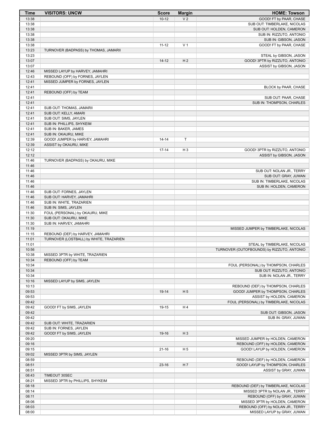| <b>Time</b>    | <b>VISITORS: UNCW</b>                             | <b>Score</b> | <b>Margin</b>  | <b>HOME: Towson</b>                        |
|----------------|---------------------------------------------------|--------------|----------------|--------------------------------------------|
| 13:38          |                                                   | $10 - 12$    | V <sub>2</sub> | GOOD! FT by PAAR, CHASE                    |
| 13:38          |                                                   |              |                | SUB OUT: TIMBERLAKE, NICOLAS               |
| 13:38          |                                                   |              |                | SUB OUT: HOLDEN, CAMERON                   |
| 13:38          |                                                   |              |                | SUB IN: RIZZUTO, ANTONIO                   |
| 13:38          |                                                   |              |                | SUB IN: GIBSON, JASON                      |
| 13:38          |                                                   | $11 - 12$    | V <sub>1</sub> | GOOD! FT by PAAR, CHASE                    |
| 13:23          | TURNOVER (BADPASS) by THOMAS, JAMARII             |              |                |                                            |
| 13:23          |                                                   |              |                | STEAL by GIBSON, JASON                     |
| 13:07          |                                                   | $14 - 12$    | H <sub>2</sub> | GOOD! 3PTR by RIZZUTO, ANTONIO             |
| 13:07<br>12:46 | MISSED LAYUP by HARVEY, JAMAHRI                   |              |                | ASSIST by GIBSON, JASON                    |
| 12:43          | REBOUND (OFF) by FORNES, JAYLEN                   |              |                |                                            |
| 12:41          | MISSED JUMPER by FORNES, JAYLEN                   |              |                |                                            |
| 12:41          |                                                   |              |                | BLOCK by PAAR, CHASE                       |
| 12:41          | REBOUND (OFF) by TEAM                             |              |                |                                            |
| 12:41          |                                                   |              |                | SUB OUT: PAAR, CHASE                       |
| 12:41          |                                                   |              |                | SUB IN: THOMPSON, CHARLES                  |
| 12:41          | SUB OUT: THOMAS, JAMARII                          |              |                |                                            |
| 12:41          | SUB OUT: KELLY, AMARI                             |              |                |                                            |
| 12:41          | SUB OUT: SIMS, JAYLEN                             |              |                |                                            |
| 12:41          | SUB IN: PHILLIPS, SHYKEIM                         |              |                |                                            |
| 12:41          | SUB IN: BAKER, JAMES                              |              |                |                                            |
| 12:41          | SUB IN: OKAURU, MIKE                              |              |                |                                            |
| 12:39          | GOOD! JUMPER by HARVEY, JAMAHRI                   | $14 - 14$    | T              |                                            |
| 12:39          | ASSIST by OKAURU, MIKE                            |              |                |                                            |
| 12:12          |                                                   | $17 - 14$    | $H_3$          | GOOD! 3PTR by RIZZUTO, ANTONIO             |
| 12:12          |                                                   |              |                | ASSIST by GIBSON, JASON                    |
| 11:46<br>11:46 | TURNOVER (BADPASS) by OKAURU, MIKE                |              |                |                                            |
| 11:46          |                                                   |              |                | SUB OUT: NOLAN JR., TERRY                  |
| 11:46          |                                                   |              |                | SUB OUT: GRAY, JUWAN                       |
| 11:46          |                                                   |              |                | SUB IN: TIMBERLAKE, NICOLAS                |
| 11:46          |                                                   |              |                | SUB IN: HOLDEN, CAMERON                    |
| 11:46          | SUB OUT: FORNES, JAYLEN                           |              |                |                                            |
| 11:46          | SUB OUT: HARVEY, JAMAHRI                          |              |                |                                            |
| 11:46          | SUB IN: WHITE, TRAZARIEN                          |              |                |                                            |
| 11:46          | SUB IN: SIMS, JAYLEN                              |              |                |                                            |
| 11:30          | FOUL (PERSONAL) by OKAURU, MIKE                   |              |                |                                            |
| 11:30          | SUB OUT: OKAURU, MIKE                             |              |                |                                            |
| 11:30          | SUB IN: HARVEY, JAMAHRI                           |              |                |                                            |
| 11:19          |                                                   |              |                | MISSED JUMPER by TIMBERLAKE, NICOLAS       |
| 11:15          | REBOUND (DEF) by HARVEY, JAMAHRI                  |              |                |                                            |
| 11:01          | TURNOVER (LOSTBALL) by WHITE, TRAZARIEN           |              |                |                                            |
| 11:01          |                                                   |              |                | STEAL by TIMBERLAKE, NICOLAS               |
| 10:56          |                                                   |              |                | TURNOVER (OUTOFBOUNDS) by RIZZUTO, ANTONIO |
| 10:38          | MISSED 3PTR by WHITE, TRAZARIEN                   |              |                |                                            |
| 10:34<br>10:34 | REBOUND (OFF) by TEAM                             |              |                | FOUL (PERSONAL) by THOMPSON, CHARLES       |
| 10:34          |                                                   |              |                | SUB OUT: RIZZUTO, ANTONIO                  |
| 10:34          |                                                   |              |                | SUB IN: NOLAN JR., TERRY                   |
| 10:16          | MISSED LAYUP by SIMS, JAYLEN                      |              |                |                                            |
| 10:13          |                                                   |              |                | REBOUND (DEF) by THOMPSON, CHARLES         |
| 09:53          |                                                   | 19-14        | H <sub>5</sub> | GOOD! JUMPER by THOMPSON, CHARLES          |
| 09:53          |                                                   |              |                | ASSIST by HOLDEN, CAMERON                  |
| 09:42          |                                                   |              |                | FOUL (PERSONAL) by TIMBERLAKE, NICOLAS     |
| 09:42          | GOOD! FT by SIMS, JAYLEN                          | 19-15        | H 4            |                                            |
| 09:42          |                                                   |              |                | SUB OUT: GIBSON, JASON                     |
| 09:42          |                                                   |              |                | SUB IN: GRAY, JUWAN                        |
| 09:42          | SUB OUT: WHITE, TRAZARIEN                         |              |                |                                            |
| 09:42          | SUB IN: FORNES, JAYLEN                            |              |                |                                            |
| 09:42          | GOOD! FT by SIMS, JAYLEN                          | 19-16        | $H_3$          |                                            |
| 09:20          |                                                   |              |                | MISSED JUMPER by HOLDEN, CAMERON           |
| 09:16          |                                                   |              |                | REBOUND (OFF) by HOLDEN, CAMERON           |
| 09:15          |                                                   | $21 - 16$    | H <sub>5</sub> | GOOD! LAYUP by HOLDEN, CAMERON             |
| 09:02          | MISSED 3PTR by SIMS, JAYLEN                       |              |                |                                            |
| 08:59          |                                                   |              |                | REBOUND (DEF) by HOLDEN, CAMERON           |
| 08:51          |                                                   | $23-16$      | H7             | GOOD! LAYUP by THOMPSON, CHARLES           |
| 08:51<br>08:43 |                                                   |              |                | ASSIST by GRAY, JUWAN                      |
| 08:21          | TIMEOUT 30SEC<br>MISSED 3PTR by PHILLIPS, SHYKEIM |              |                |                                            |
| 08:18          |                                                   |              |                | REBOUND (DEF) by TIMBERLAKE, NICOLAS       |
| 08:14          |                                                   |              |                | MISSED 3PTR by NOLAN JR., TERRY            |
| 08:11          |                                                   |              |                | REBOUND (OFF) by GRAY, JUWAN               |
| 08:06          |                                                   |              |                | MISSED 3PTR by HOLDEN, CAMERON             |
| 08:03          |                                                   |              |                | REBOUND (OFF) by NOLAN JR., TERRY          |
|                |                                                   |              |                |                                            |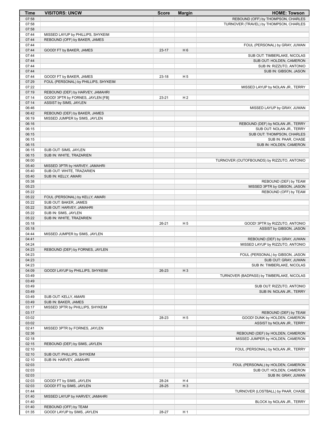| Time           | <b>VISITORS: UNCW</b>                                                 | <b>Score</b> | <b>Margin</b>  | <b>HOME: Towson</b>                        |
|----------------|-----------------------------------------------------------------------|--------------|----------------|--------------------------------------------|
| 07:58          |                                                                       |              |                | REBOUND (OFF) by THOMPSON, CHARLES         |
| 07:58          |                                                                       |              |                | TURNOVER (TRAVEL) by THOMPSON, CHARLES     |
| 07:58          |                                                                       |              |                |                                            |
| 07:44          | MISSED LAYUP by PHILLIPS, SHYKEIM                                     |              |                |                                            |
| 07:44          | REBOUND (OFF) by BAKER, JAMES                                         |              |                |                                            |
| 07:44          |                                                                       |              |                | FOUL (PERSONAL) by GRAY, JUWAN             |
| 07:44          | GOOD! FT by BAKER, JAMES                                              | $23-17$      | H <sub>6</sub> |                                            |
| 07:44          |                                                                       |              |                | SUB OUT: TIMBERLAKE, NICOLAS               |
| 07:44          |                                                                       |              |                | SUB OUT: HOLDEN, CAMERON                   |
| 07:44          |                                                                       |              |                | SUB IN: RIZZUTO, ANTONIO                   |
| 07:44          |                                                                       |              |                | SUB IN: GIBSON, JASON                      |
| 07:44          | GOOD! FT by BAKER, JAMES                                              | $23 - 18$    | H <sub>5</sub> |                                            |
| 07:29          | FOUL (PERSONAL) by PHILLIPS, SHYKEIM                                  |              |                |                                            |
| 07:22          |                                                                       |              |                | MISSED LAYUP by NOLAN JR., TERRY           |
| 07:19<br>07:14 | REBOUND (DEF) by HARVEY, JAMAHRI<br>GOOD! 3PTR by FORNES, JAYLEN [FB] | $23 - 21$    | H <sub>2</sub> |                                            |
| 07:14          | ASSIST by SIMS, JAYLEN                                                |              |                |                                            |
| 06:46          |                                                                       |              |                | MISSED LAYUP by GRAY, JUWAN                |
| 06:42          | REBOUND (DEF) by BAKER, JAMES                                         |              |                |                                            |
| 06:19          | MISSED JUMPER by SIMS, JAYLEN                                         |              |                |                                            |
| 06:16          |                                                                       |              |                | REBOUND (DEF) by NOLAN JR., TERRY          |
| 06:15          |                                                                       |              |                | SUB OUT: NOLAN JR., TERRY                  |
| 06:15          |                                                                       |              |                | SUB OUT: THOMPSON, CHARLES                 |
| 06:15          |                                                                       |              |                | SUB IN: PAAR, CHASE                        |
| 06:15          |                                                                       |              |                | SUB IN: HOLDEN, CAMERON                    |
| 06:15          | SUB OUT: SIMS, JAYLEN                                                 |              |                |                                            |
| 06:15          | SUB IN: WHITE, TRAZARIEN                                              |              |                |                                            |
| 06:00          |                                                                       |              |                | TURNOVER (OUTOFBOUNDS) by RIZZUTO, ANTONIO |
| 05:40          | MISSED 3PTR by HARVEY, JAMAHRI                                        |              |                |                                            |
| 05:40          | SUB OUT: WHITE, TRAZARIEN                                             |              |                |                                            |
| 05:40          | SUB IN: KELLY, AMARI                                                  |              |                |                                            |
| 05:38          |                                                                       |              |                | REBOUND (DEF) by TEAM                      |
| 05:23          |                                                                       |              |                | MISSED 3PTR by GIBSON, JASON               |
| 05:22          |                                                                       |              |                | REBOUND (OFF) by TEAM                      |
| 05:22          | FOUL (PERSONAL) by KELLY, AMARI                                       |              |                |                                            |
| 05:22          | SUB OUT: BAKER, JAMES                                                 |              |                |                                            |
| 05:22          | SUB OUT: HARVEY, JAMAHRI                                              |              |                |                                            |
| 05:22          | SUB IN: SIMS, JAYLEN                                                  |              |                |                                            |
| 05:22          | SUB IN: WHITE, TRAZARIEN                                              |              |                |                                            |
| 05:18          |                                                                       | $26 - 21$    | H <sub>5</sub> | GOOD! 3PTR by RIZZUTO, ANTONIO             |
| 05:18          |                                                                       |              |                | ASSIST by GIBSON, JASON                    |
| 04:44          | MISSED JUMPER by SIMS, JAYLEN                                         |              |                |                                            |
| 04:41          |                                                                       |              |                | REBOUND (DEF) by GRAY, JUWAN               |
| 04:24          |                                                                       |              |                | MISSED LAYUP by RIZZUTO, ANTONIO           |
| 04:23          | REBOUND (DEF) by FORNES, JAYLEN                                       |              |                |                                            |
| 04:23          |                                                                       |              |                | FOUL (PERSONAL) by GIBSON, JASON           |
| 04:23          |                                                                       |              |                | SUB OUT: GRAY, JUWAN                       |
| 04:23          |                                                                       |              |                | SUB IN: TIMBERLAKE, NICOLAS                |
| 04:09          | GOOD! LAYUP by PHILLIPS, SHYKEIM                                      | 26-23        | $H_3$          |                                            |
| 03:49          |                                                                       |              |                | TURNOVER (BADPASS) by TIMBERLAKE, NICOLAS  |
| 03:49          |                                                                       |              |                | SUB OUT: RIZZUTO, ANTONIO                  |
| 03:49<br>03:49 |                                                                       |              |                | SUB IN: NOLAN JR., TERRY                   |
| 03:49          | SUB OUT: KELLY, AMARI                                                 |              |                |                                            |
| 03:49          | SUB IN: BAKER, JAMES                                                  |              |                |                                            |
| 03:17          | MISSED 3PTR by PHILLIPS, SHYKEIM                                      |              |                |                                            |
| 03:17          |                                                                       |              |                | REBOUND (DEF) by TEAM                      |
| 03:02          |                                                                       | 28-23        | H <sub>5</sub> | GOOD! DUNK by HOLDEN, CAMERON              |
| 03:02          |                                                                       |              |                | ASSIST by NOLAN JR., TERRY                 |
| 02:41          | MISSED 3PTR by FORNES, JAYLEN                                         |              |                |                                            |
| 02:36          |                                                                       |              |                | REBOUND (DEF) by HOLDEN, CAMERON           |
| 02:18          |                                                                       |              |                | MISSED JUMPER by HOLDEN, CAMERON           |
| 02:15          | REBOUND (DEF) by SIMS, JAYLEN                                         |              |                |                                            |
| 02:10          |                                                                       |              |                | FOUL (PERSONAL) by NOLAN JR., TERRY        |
| 02:10          | SUB OUT: PHILLIPS, SHYKEIM                                            |              |                |                                            |
| 02:10          | SUB IN: HARVEY, JAMAHRI                                               |              |                |                                            |
| 02:03          |                                                                       |              |                | FOUL (PERSONAL) by HOLDEN, CAMERON         |
| 02:03          |                                                                       |              |                | SUB OUT: HOLDEN, CAMERON                   |
| 02:03          |                                                                       |              |                | SUB IN: GRAY, JUWAN                        |
| 02:03          | GOOD! FT by SIMS, JAYLEN                                              | 28-24        | H4             |                                            |
| 02:03          | GOOD! FT by SIMS, JAYLEN                                              | 28-25        | $H_3$          |                                            |
| 01:44          |                                                                       |              |                | TURNOVER (LOSTBALL) by PAAR, CHASE         |
| 01:40          | MISSED LAYUP by HARVEY, JAMAHRI                                       |              |                |                                            |
| 01:40          |                                                                       |              |                | BLOCK by NOLAN JR., TERRY                  |
| 01:40          | REBOUND (OFF) by TEAM                                                 |              |                |                                            |
| 01:35          | GOOD! LAYUP by SIMS, JAYLEN                                           | 28-27        | H <sub>1</sub> |                                            |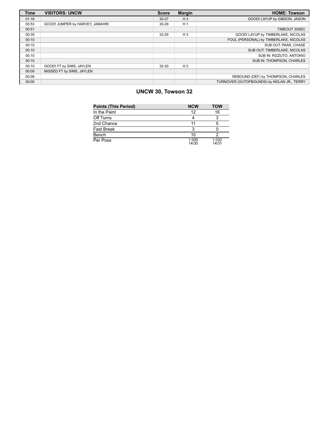| <b>Time</b> | <b>VISITORS: UNCW</b>           | <b>Score</b> | Margin         | <b>HOME: Towson</b>                        |
|-------------|---------------------------------|--------------|----------------|--------------------------------------------|
| 01:16       |                                 | $30 - 27$    | $H_3$          | GOOD! LAYUP by GIBSON, JASON               |
| 00:53       | GOOD! JUMPER by HARVEY, JAMAHRI | $30 - 29$    | H <sub>1</sub> |                                            |
| 00:51       |                                 |              |                | TIMEOUT 30SEC                              |
| 00:35       |                                 | 32-29        | $H_3$          | GOOD! LAYUP by TIMBERLAKE, NICOLAS         |
| 00:10       |                                 |              |                | FOUL (PERSONAL) by TIMBERLAKE, NICOLAS     |
| 00:10       |                                 |              |                | SUB OUT: PAAR, CHASE                       |
| 00:10       |                                 |              |                | SUB OUT: TIMBERLAKE, NICOLAS               |
| 00:10       |                                 |              |                | SUB IN: RIZZUTO, ANTONIO                   |
| 00:10       |                                 |              |                | SUB IN: THOMPSON, CHARLES                  |
| 00:10       | GOOD! FT by SIMS, JAYLEN        | 32-30        | H <sub>2</sub> |                                            |
| 00:09       | MISSED FT by SIMS, JAYLEN       |              |                |                                            |
| 00:08       |                                 |              |                | REBOUND (DEF) by THOMPSON, CHARLES         |
| 00:00       |                                 |              |                | TURNOVER (OUTOFBOUNDS) by NOLAN JR., TERRY |

# **UNCW 30, Towson 32**

| <b>Points (This Period)</b> | <b>NCW</b>     | <b>TOW</b>     |
|-----------------------------|----------------|----------------|
| In the Paint                | 12             | 16             |
| Off Turns                   |                | 3              |
| 2nd Chance                  | 11             | 5              |
| <b>Fast Break</b>           | ર              |                |
| Bench                       | 10             |                |
| Per Poss                    | 1.000<br>14/30 | 1.032<br>14/31 |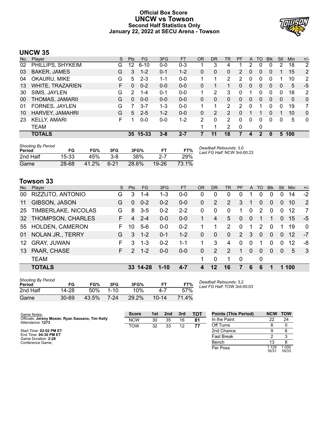# **Official Box Score UNCW vs Towson Second Half Statistics Only January 22, 2022 at SECU Arena - Towson**



# **UNCW 35**

| No. | Plaver              | S  | <b>Pts</b> | FG.      | 3FG     | <b>FT</b> | <b>OR</b>     | <b>DR</b> | <b>TR</b>      | PF                    | A            | TO. | <b>B</b> lk  | Stl | Min      | $+/-$          |
|-----|---------------------|----|------------|----------|---------|-----------|---------------|-----------|----------------|-----------------------|--------------|-----|--------------|-----|----------|----------------|
| 02  | PHILLIPS, SHYKEIM   | G  | 12         | $6 - 10$ | $0 - 0$ | $0 - 3$   |               | 3         | 4              |                       | 2            | 0   | 0            | 2   | 18       | $\overline{2}$ |
| 03  | <b>BAKER, JAMES</b> | G  | 3          | $1 - 2$  | $0 - 1$ | $1 - 2$   | 0             | 0         | 0              | $\overline{2}$        | 0            | 0   | 0            |     | 15       | 2              |
| 04  | OKAURU, MIKE        | G  | 5          | $2 - 3$  | $1 - 1$ | $0-0$     |               | 1         | $\overline{2}$ | $\mathbf{2}^{\prime}$ | 0            | 0   | 0            |     | 10       | 2              |
| 13  | WHITE, TRAZARIEN    | F. | $\Omega$   | $0 - 2$  | $0 - 0$ | $0 - 0$   | 0             | 1         |                | $\mathbf{0}$          | $\mathbf{0}$ | 0   | $\mathbf{0}$ | 0   | 5        | $-5$           |
| 30  | SIMS, JAYLEN        | G  | 2          | $1 - 4$  | $0 - 1$ | $0-0$     |               | 2         | 3              | 0                     | 1            | 0   | $\Omega$     | 0   | 18       | 2              |
| 00  | THOMAS, JAMARII     | G  | $\Omega$   | $0 - 0$  | $0 - 0$ | $0 - 0$   | 0             | 0         | $\Omega$       | $\Omega$              | $\Omega$     | 0   | $\Omega$     | 0   | $\Omega$ | $\mathbf{0}$   |
| 01  | FORNES, JAYLEN      | G  |            | $3 - 7$  | $1 - 3$ | $0-0$     |               | 1         | 2              | 2                     | 0            | 1   | 0            | 0   | 19       | 7              |
| 10  | HARVEY, JAMAHRI     | G  | 5          | $2 - 5$  | $1 - 2$ | $0 - 0$   | 0             | 2         | 2              | 0                     |              |     | 0            |     | 10       | $\mathbf{0}$   |
| 23  | <b>KELLY, AMARI</b> | F  |            | $0 - 0$  | $0 - 0$ | $1 - 2$   | $\mathcal{P}$ | 0         | 2              | 0                     | 0            | 0   | 0            | 0   | 5        | $\mathbf{0}$   |
|     | TEAM                |    |            |          |         |           |               | 1         | 2              | 0                     |              | 0   |              |     |          |                |
|     | <b>TOTALS</b>       |    |            | 35 15-33 | $3 - 8$ | $2 - 7$   |               | 11        | 18             |                       | 4            | 2   | 0            |     | 5 100    |                |

| <b>Shooting By Period</b><br>Period | FG    | FG%   | 3FG      | 3FG%  | FТ        | FT%   | Deadball Rebounds: 3,0<br>Last FG Half: NCW 3rd-00:23 |
|-------------------------------------|-------|-------|----------|-------|-----------|-------|-------------------------------------------------------|
| 2nd Half                            | 15-33 | 45%   | 3-8      | 38%   |           | 29%   |                                                       |
| Game                                | 28-68 | 41.2% | $6 - 21$ | 28.6% | $19 - 26$ | 73.1% |                                                       |

# **Towson 33**

| No. | Player                   | S. | Pts           | FG.      | 3FG      | <b>FT</b> | <b>OR</b>    | <b>DR</b>      | TR             | <b>PF</b>   | A        | TO       | <b>B</b> lk | Stl      | Min | $+/-$        |
|-----|--------------------------|----|---------------|----------|----------|-----------|--------------|----------------|----------------|-------------|----------|----------|-------------|----------|-----|--------------|
| 00  | RIZZUTO, ANTONIO         | G  | 3             | $1 - 4$  | 1-3      | $0 - 0$   | 0            | 0              | 0              | Ω           |          | 0        | $\Omega$    | $\Omega$ | 14  | $-2$         |
| 11  | GIBSON, JASON            | G  | $\Omega$      | $0 - 2$  | $0 - 2$  | $0-0$     | 0            | 2              | 2              | 3           | 1        | 0        | $\Omega$    | 0        | 10  | 2            |
| 25  | TIMBERLAKE, NICOLAS      | G  | 8             | $3 - 5$  | $0 - 2$  | $2 - 2$   | $\Omega$     | 0              | $\Omega$       | 1.          | $\Omega$ | 2        | $\Omega$    | $\Omega$ | 12  | 7            |
| 32  | <b>THOMPSON, CHARLES</b> | F  | 4             | $2 - 4$  | $0 - 0$  | $0 - 0$   |              | 4              | 5              | $\Omega$    | $\Omega$ |          |             | $\Omega$ | 15  | $-5$         |
| 55  | <b>HOLDEN, CAMERON</b>   | F. | 10            | $5-6$    | $0-0$    | $0 - 2$   |              |                | 2              | $\Omega$    |          | 2        | $\Omega$    |          | 19  | $\mathbf 0$  |
| 01  | <b>NOLAN JR., TERRY</b>  | G  | 3             | $1 - 2$  | $0 - 1$  | $1 - 2$   | 0            | $\Omega$       | $\Omega$       | 2           | 3        | $\Omega$ | $\Omega$    | $\Omega$ | 12  | -7           |
| 12  | <b>GRAY, JUWAN</b>       | F  | 3             | $1 - 3$  | $0 - 2$  | $1 - 1$   | 1            | 3              | 4              | 0           | $\Omega$ |          | $\Omega$    | $\Omega$ | 12  | -8           |
| 13  | PAAR, CHASE              | F  | $\mathcal{P}$ | $1 - 2$  | $0 - 0$  | $0 - 0$   | $\mathbf{0}$ | $\overline{2}$ | $\overline{2}$ | 1           | $\Omega$ | $\Omega$ | $\Omega$    | $\Omega$ | 5   | $\mathbf{3}$ |
|     | <b>TEAM</b>              |    |               |          |          |           | 1            | 0              |                | $\mathbf 0$ |          | 0        |             |          |     |              |
|     | <b>TOTALS</b>            |    |               | 33 14-28 | $1 - 10$ | $4 - 7$   | $\mathbf{A}$ | 12             | 16             | 7           | 6        | 6        |             | 1        | 100 |              |

| <b>Shooting By Period</b><br>Period | FG    | FG%   | 3FG      | 3FG%  | FТ        | FT%   |
|-------------------------------------|-------|-------|----------|-------|-----------|-------|
| 2nd Half                            | 14-28 | .50%  | $1 - 10$ | 10%   | $-4.7$    | 57%   |
| Game                                | 30-69 | 43.5% | 7-24     | 29.2% | $10 - 14$ | 71.4% |

*Deadball Rebounds:* 3,2 *Last FG Half:* TOW 3rd-00:03

| Game Notes:                                                           | <b>Score</b> | 1st | 2nd | 3rd | <b>TOT</b> | <b>Points (This Period)</b> | <b>NCW</b>    | <b>TOW</b>     |
|-----------------------------------------------------------------------|--------------|-----|-----|-----|------------|-----------------------------|---------------|----------------|
| Officials: Jereny Mosier, Ryan Sassano, Tim Kelly<br>Attendance: 1273 | <b>NCW</b>   | 30  | 35  | 16  | 81         | In the Paint                | 22            | 24             |
|                                                                       | TOW          | 32  | 33  | 12  | 77         | Off Turns                   |               |                |
| Start Time: 02:02 PM ET                                               |              |     |     |     |            | 2nd Chance                  |               |                |
| End Time: 04:30 PM ET<br>Game Duration: 2:28                          |              |     |     |     |            | Fast Break                  |               |                |
| Conference Game:                                                      |              |     |     |     |            | Bench                       | 13            |                |
|                                                                       |              |     |     |     |            | Per Poss                    | .129<br>16/31 | 1.000<br>16/33 |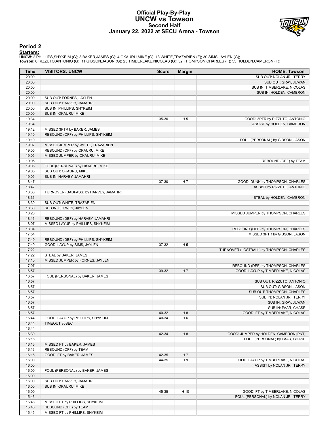# **Official Play-By-Play UNCW vs Towson Second Half January 22, 2022 at SECU Arena - Towson**



# **Period 2**

<mark>Starters:</mark><br>UNCW: 2 PHILLIPS,SHYKEIM (G); 3 BAKER,JAMES (G); 4 OKAURU,MIKE (G); 13 WHITE,TRAZARIEN (F); 30 SIMS,JAYLEN (G);<br>Towson: 0 RIZZUTO,ANTONIO (G); 11 GIBSON,JASON (G); 25 TIMBERLAKE,NICOLAS (G); 32 THOMPSON,CHARLES

| Time           | <b>VISITORS: UNCW</b>                                              | <b>Score</b> | <b>Margin</b>  | <b>HOME: Towson</b>                      |
|----------------|--------------------------------------------------------------------|--------------|----------------|------------------------------------------|
| 20:00          |                                                                    |              |                | SUB OUT: NOLAN JR., TERRY                |
| 20:00          |                                                                    |              |                | SUB OUT: GRAY, JUWAN                     |
| 20:00          |                                                                    |              |                | SUB IN: TIMBERLAKE, NICOLAS              |
| 20:00          |                                                                    |              |                | SUB IN: HOLDEN, CAMERON                  |
| 20:00          | SUB OUT: FORNES, JAYLEN                                            |              |                |                                          |
| 20:00          | SUB OUT: HARVEY, JAMAHRI                                           |              |                |                                          |
| 20:00          | SUB IN: PHILLIPS, SHYKEIM                                          |              |                |                                          |
| 20:00          | SUB IN: OKAURU, MIKE                                               |              |                |                                          |
| 19:34          |                                                                    | 35-30        | H <sub>5</sub> | GOOD! 3PTR by RIZZUTO, ANTONIO           |
| 19:34          |                                                                    |              |                | ASSIST by HOLDEN, CAMERON                |
| 19:12          | MISSED 3PTR by BAKER, JAMES                                        |              |                |                                          |
| 19:10          | REBOUND (OFF) by PHILLIPS, SHYKEIM                                 |              |                |                                          |
| 19:10          |                                                                    |              |                | FOUL (PERSONAL) by GIBSON, JASON         |
| 19:07<br>19:05 | MISSED JUMPER by WHITE, TRAZARIEN<br>REBOUND (OFF) by OKAURU, MIKE |              |                |                                          |
| 19:05          | MISSED JUMPER by OKAURU, MIKE                                      |              |                |                                          |
| 19:05          |                                                                    |              |                | REBOUND (DEF) by TEAM                    |
| 19:05          | FOUL (PERSONAL) by OKAURU, MIKE                                    |              |                |                                          |
| 19:05          | SUB OUT: OKAURU, MIKE                                              |              |                |                                          |
| 19:05          | SUB IN: HARVEY, JAMAHRI                                            |              |                |                                          |
| 18:47          |                                                                    | 37-30        | H 7            | GOOD! DUNK by THOMPSON, CHARLES          |
| 18:47          |                                                                    |              |                | ASSIST by RIZZUTO, ANTONIO               |
| 18:36          | TURNOVER (BADPASS) by HARVEY, JAMAHRI                              |              |                |                                          |
| 18:36          |                                                                    |              |                | STEAL by HOLDEN, CAMERON                 |
| 18:30          | SUB OUT: WHITE, TRAZARIEN                                          |              |                |                                          |
| 18:30          | SUB IN: FORNES, JAYLEN                                             |              |                |                                          |
| 18:20          |                                                                    |              |                | MISSED JUMPER by THOMPSON, CHARLES       |
| 18:16          | REBOUND (DEF) by HARVEY, JAMAHRI                                   |              |                |                                          |
| 18:07          | MISSED LAYUP by PHILLIPS, SHYKEIM                                  |              |                |                                          |
| 18:04          |                                                                    |              |                | REBOUND (DEF) by THOMPSON, CHARLES       |
| 17:54          |                                                                    |              |                | MISSED 3PTR by GIBSON, JASON             |
| 17:49          | REBOUND (DEF) by PHILLIPS, SHYKEIM                                 |              |                |                                          |
| 17:40          | GOOD! LAYUP by SIMS, JAYLEN                                        | 37-32        | H <sub>5</sub> |                                          |
| 17:22<br>17:22 | STEAL by BAKER, JAMES                                              |              |                | TURNOVER (LOSTBALL) by THOMPSON, CHARLES |
| 17:10          | MISSED JUMPER by FORNES, JAYLEN                                    |              |                |                                          |
| 17:07          |                                                                    |              |                | REBOUND (DEF) by THOMPSON, CHARLES       |
| 16:57          |                                                                    | 39-32        | H <sub>7</sub> | GOOD! LAYUP by TIMBERLAKE, NICOLAS       |
| 16:57          | FOUL (PERSONAL) by BAKER, JAMES                                    |              |                |                                          |
| 16:57          |                                                                    |              |                | SUB OUT: RIZZUTO, ANTONIO                |
| 16:57          |                                                                    |              |                | SUB OUT: GIBSON, JASON                   |
| 16:57          |                                                                    |              |                | SUB OUT: THOMPSON, CHARLES               |
| 16:57          |                                                                    |              |                | SUB IN: NOLAN JR., TERRY                 |
| 16:57          |                                                                    |              |                | SUB IN: GRAY, JUWAN                      |
| 16:57          |                                                                    |              |                | SUB IN: PAAR, CHASE                      |
| 16:57          |                                                                    | 40-32        | H 8            | GOOD! FT by TIMBERLAKE, NICOLAS          |
| 16:44          | GOOD! LAYUP by PHILLIPS, SHYKEIM                                   | 40-34        | H <sub>6</sub> |                                          |
| 16:44          | TIMEOUT 30SEC                                                      |              |                |                                          |
| 16:44          |                                                                    |              |                |                                          |
| 16:30          |                                                                    | 42-34        | H 8            | GOOD! JUMPER by HOLDEN, CAMERON [PNT]    |
| 16:16          |                                                                    |              |                | FOUL (PERSONAL) by PAAR, CHASE           |
| 16:16          | MISSED FT by BAKER, JAMES                                          |              |                |                                          |
| 16:16          | REBOUND (OFF) by TEAM                                              |              |                |                                          |
| 16:16          | GOOD! FT by BAKER, JAMES                                           | 42-35        | H 7            |                                          |
| 16:00<br>16:00 |                                                                    | 44-35        | H 9            | GOOD! LAYUP by TIMBERLAKE, NICOLAS       |
| 16:00          | FOUL (PERSONAL) by BAKER, JAMES                                    |              |                | ASSIST by NOLAN JR., TERRY               |
| 16:00          |                                                                    |              |                |                                          |
| 16:00          | SUB OUT: HARVEY, JAMAHRI                                           |              |                |                                          |
| 16:00          | SUB IN: OKAURU, MIKE                                               |              |                |                                          |
| 16:00          |                                                                    | 45-35        | H 10           | GOOD! FT by TIMBERLAKE, NICOLAS          |
| 15:46          |                                                                    |              |                | FOUL (PERSONAL) by NOLAN JR., TERRY      |
| 15:46          | MISSED FT by PHILLIPS, SHYKEIM                                     |              |                |                                          |
| 15:46          | REBOUND (OFF) by TEAM                                              |              |                |                                          |
| 15:45          | MISSED FT by PHILLIPS, SHYKEIM                                     |              |                |                                          |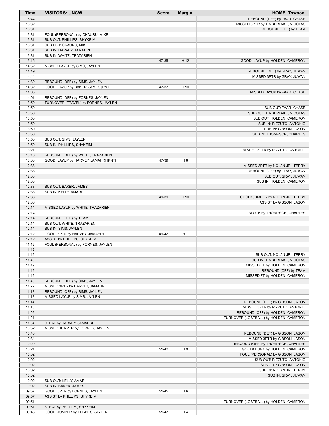| Time           | <b>VISITORS: UNCW</b>                                         | <b>Score</b> | <b>Margin</b>  | <b>HOME: Towson</b>                                                 |
|----------------|---------------------------------------------------------------|--------------|----------------|---------------------------------------------------------------------|
| 15:44          |                                                               |              |                | REBOUND (DEF) by PAAR, CHASE                                        |
| 15:32          |                                                               |              |                | MISSED 3PTR by TIMBERLAKE, NICOLAS                                  |
| 15:31          |                                                               |              |                | REBOUND (OFF) by TEAM                                               |
| 15:31<br>15:31 | FOUL (PERSONAL) by OKAURU, MIKE<br>SUB OUT: PHILLIPS, SHYKEIM |              |                |                                                                     |
| 15:31          | SUB OUT: OKAURU, MIKE                                         |              |                |                                                                     |
| 15:31          | SUB IN: HARVEY, JAMAHRI                                       |              |                |                                                                     |
| 15:31          | SUB IN: WHITE, TRAZARIEN                                      |              |                |                                                                     |
| 15:15          |                                                               | 47-35        | H 12           | GOOD! LAYUP by HOLDEN, CAMERON                                      |
| 14:52          | MISSED LAYUP by SIMS, JAYLEN                                  |              |                |                                                                     |
| 14:49          |                                                               |              |                | REBOUND (DEF) by GRAY, JUWAN                                        |
| 14:44          |                                                               |              |                | MISSED 3PTR by GRAY, JUWAN                                          |
| 14:39          | REBOUND (DEF) by SIMS, JAYLEN                                 |              |                |                                                                     |
| 14:32          | GOOD! LAYUP by BAKER, JAMES [PNT]                             | 47-37        | H 10           |                                                                     |
| 14:05<br>14:01 | REBOUND (DEF) by FORNES, JAYLEN                               |              |                | MISSED LAYUP by PAAR, CHASE                                         |
| 13:50          | TURNOVER (TRAVEL) by FORNES, JAYLEN                           |              |                |                                                                     |
| 13:50          |                                                               |              |                | SUB OUT: PAAR, CHASE                                                |
| 13:50          |                                                               |              |                | SUB OUT: TIMBERLAKE, NICOLAS                                        |
| 13:50          |                                                               |              |                | SUB OUT: HOLDEN, CAMERON                                            |
| 13:50          |                                                               |              |                | SUB IN: RIZZUTO, ANTONIO                                            |
| 13:50          |                                                               |              |                | SUB IN: GIBSON, JASON                                               |
| 13:50          |                                                               |              |                | SUB IN: THOMPSON, CHARLES                                           |
| 13:50          | SUB OUT: SIMS, JAYLEN                                         |              |                |                                                                     |
| 13:50<br>13:21 | SUB IN: PHILLIPS, SHYKEIM                                     |              |                |                                                                     |
| 13:16          | REBOUND (DEF) by WHITE, TRAZARIEN                             |              |                | MISSED 3PTR by RIZZUTO, ANTONIO                                     |
| 13:03          | GOOD! LAYUP by HARVEY, JAMAHRI [PNT]                          | 47-39        | H <sub>8</sub> |                                                                     |
| 12:38          |                                                               |              |                | MISSED 3PTR by NOLAN JR., TERRY                                     |
| 12:38          |                                                               |              |                | REBOUND (OFF) by GRAY, JUWAN                                        |
| 12:38          |                                                               |              |                | SUB OUT: GRAY, JUWAN                                                |
| 12:38          |                                                               |              |                | SUB IN: HOLDEN, CAMERON                                             |
| 12:38          | SUB OUT: BAKER, JAMES                                         |              |                |                                                                     |
| 12:38          | SUB IN: KELLY, AMARI                                          |              |                |                                                                     |
| 12:36          |                                                               | 49-39        | H 10           | GOOD! JUMPER by NOLAN JR., TERRY                                    |
| 12:36<br>12:14 | MISSED LAYUP by WHITE, TRAZARIEN                              |              |                | ASSIST by GIBSON, JASON                                             |
| 12:14          |                                                               |              |                | BLOCK by THOMPSON, CHARLES                                          |
| 12:14          | REBOUND (OFF) by TEAM                                         |              |                |                                                                     |
| 12:14          | SUB OUT: WHITE, TRAZARIEN                                     |              |                |                                                                     |
| 12:14          | SUB IN: SIMS, JAYLEN                                          |              |                |                                                                     |
| 12:12          | GOOD! 3PTR by HARVEY, JAMAHRI                                 | 49-42        | H 7            |                                                                     |
| 12:12          | ASSIST by PHILLIPS, SHYKEIM                                   |              |                |                                                                     |
| 11:49          | FOUL (PERSONAL) by FORNES, JAYLEN                             |              |                |                                                                     |
| 11:49          |                                                               |              |                |                                                                     |
| 11:49<br>11:49 |                                                               |              |                | SUB OUT: NOLAN JR., TERRY<br>SUB IN: TIMBERLAKE, NICOLAS            |
| 11:49          |                                                               |              |                | MISSED FT by HOLDEN, CAMERON                                        |
| 11:49          |                                                               |              |                | REBOUND (OFF) by TEAM                                               |
| 11:49          |                                                               |              |                | MISSED FT by HOLDEN, CAMERON                                        |
| 11:48          | REBOUND (DEF) by SIMS, JAYLEN                                 |              |                |                                                                     |
| 11:22          | MISSED 3PTR by HARVEY, JAMAHRI                                |              |                |                                                                     |
| 11:18          | REBOUND (OFF) by SIMS, JAYLEN                                 |              |                |                                                                     |
| 11:17          | MISSED LAYUP by SIMS, JAYLEN                                  |              |                |                                                                     |
| 11:14<br>11:10 |                                                               |              |                | REBOUND (DEF) by GIBSON, JASON                                      |
| 11:05          |                                                               |              |                | MISSED 3PTR by RIZZUTO, ANTONIO<br>REBOUND (OFF) by HOLDEN, CAMERON |
| 11:04          |                                                               |              |                | TURNOVER (LOSTBALL) by HOLDEN, CAMERON                              |
| 11:04          | STEAL by HARVEY, JAMAHRI                                      |              |                |                                                                     |
| 10:52          | MISSED JUMPER by FORNES, JAYLEN                               |              |                |                                                                     |
| 10:48          |                                                               |              |                | REBOUND (DEF) by GIBSON, JASON                                      |
| 10:34          |                                                               |              |                | MISSED 3PTR by GIBSON, JASON                                        |
| 10:29          |                                                               |              |                | REBOUND (OFF) by THOMPSON, CHARLES                                  |
| 10:21          |                                                               | 51-42        | H9             | GOOD! DUNK by HOLDEN, CAMERON                                       |
| 10:02<br>10:02 |                                                               |              |                | FOUL (PERSONAL) by GIBSON, JASON<br>SUB OUT: RIZZUTO, ANTONIO       |
| 10:02          |                                                               |              |                | SUB OUT: GIBSON, JASON                                              |
| 10:02          |                                                               |              |                | SUB IN: NOLAN JR., TERRY                                            |
| 10:02          |                                                               |              |                | SUB IN: GRAY, JUWAN                                                 |
| 10:02          | SUB OUT: KELLY, AMARI                                         |              |                |                                                                     |
| 10:02          | SUB IN: BAKER, JAMES                                          |              |                |                                                                     |
| 09:57          | GOOD! 3PTR by FORNES, JAYLEN                                  | 51-45        | H <sub>6</sub> |                                                                     |
| 09:57          | ASSIST by PHILLIPS, SHYKEIM                                   |              |                |                                                                     |
| 09:51          |                                                               |              |                | TURNOVER (LOSTBALL) by HOLDEN, CAMERON                              |
| 09:51<br>09:48 | STEAL by PHILLIPS, SHYKEIM<br>GOOD! JUMPER by FORNES, JAYLEN  | 51-47        | H4             |                                                                     |
|                |                                                               |              |                |                                                                     |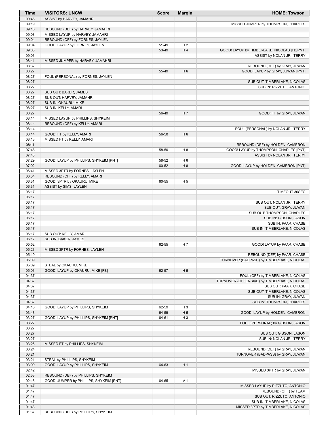| Time           | <b>VISITORS: UNCW</b>                                            | <b>Score</b> | <b>Margin</b>  | <b>HOME: Towson</b>                                                 |
|----------------|------------------------------------------------------------------|--------------|----------------|---------------------------------------------------------------------|
| 09:48          | ASSIST by HARVEY, JAMAHRI                                        |              |                |                                                                     |
| 09:19          |                                                                  |              |                | MISSED JUMPER by THOMPSON, CHARLES                                  |
| 09:16          | REBOUND (DEF) by HARVEY, JAMAHRI                                 |              |                |                                                                     |
| 09:08          | MISSED LAYUP by HARVEY, JAMAHRI                                  |              |                |                                                                     |
| 09:04<br>09:04 | REBOUND (OFF) by FORNES, JAYLEN<br>GOOD! LAYUP by FORNES, JAYLEN | 51-49        | H <sub>2</sub> |                                                                     |
| 09:03          |                                                                  | 53-49        | H4             | GOOD! LAYUP by TIMBERLAKE, NICOLAS [FB/PNT]                         |
| 09:03          |                                                                  |              |                | ASSIST by NOLAN JR., TERRY                                          |
| 08:41          | MISSED JUMPER by HARVEY, JAMAHRI                                 |              |                |                                                                     |
| 08:37          |                                                                  |              |                | REBOUND (DEF) by GRAY, JUWAN                                        |
| 08:27          |                                                                  | 55-49        | H <sub>6</sub> | GOOD! LAYUP by GRAY, JUWAN [PNT]                                    |
| 08:27          | FOUL (PERSONAL) by FORNES, JAYLEN                                |              |                |                                                                     |
| 08:27          |                                                                  |              |                | SUB OUT: TIMBERLAKE, NICOLAS                                        |
| 08:27<br>08:27 |                                                                  |              |                | SUB IN: RIZZUTO, ANTONIO                                            |
| 08:27          | SUB OUT: BAKER, JAMES<br>SUB OUT: HARVEY, JAMAHRI                |              |                |                                                                     |
| 08:27          | SUB IN: OKAURU, MIKE                                             |              |                |                                                                     |
| 08:27          | SUB IN: KELLY, AMARI                                             |              |                |                                                                     |
| 08:27          |                                                                  | 56-49        | H <sub>7</sub> | GOOD! FT by GRAY, JUWAN                                             |
| 08:14          | MISSED LAYUP by PHILLIPS, SHYKEIM                                |              |                |                                                                     |
| 08:14          | REBOUND (OFF) by KELLY, AMARI                                    |              |                |                                                                     |
| 08:14          |                                                                  |              |                | FOUL (PERSONAL) by NOLAN JR., TERRY                                 |
| 08:14          | GOOD! FT by KELLY, AMARI                                         | 56-50        | H <sub>6</sub> |                                                                     |
| 08:13<br>08:11 | MISSED FT by KELLY, AMARI                                        |              |                | REBOUND (DEF) by HOLDEN, CAMERON                                    |
| 07:48          |                                                                  | 58-50        | H <sub>8</sub> | GOOD! LAYUP by THOMPSON, CHARLES [PNT]                              |
| 07:48          |                                                                  |              |                | ASSIST by NOLAN JR., TERRY                                          |
| 07:29          | GOOD! LAYUP by PHILLIPS, SHYKEIM [PNT]                           | 58-52        | H <sub>6</sub> |                                                                     |
| 07:02          |                                                                  | 60-52        | H 8            | GOOD! LAYUP by HOLDEN, CAMERON [PNT]                                |
| 06:41          | MISSED 3PTR by FORNES, JAYLEN                                    |              |                |                                                                     |
| 06:34          | REBOUND (OFF) by KELLY, AMARI                                    |              |                |                                                                     |
| 06:31          | GOOD! 3PTR by OKAURU, MIKE                                       | 60-55        | H <sub>5</sub> |                                                                     |
| 06:31<br>06:17 | ASSIST by SIMS, JAYLEN                                           |              |                | TIMEOUT 30SEC                                                       |
| 06:17          |                                                                  |              |                |                                                                     |
| 06:17          |                                                                  |              |                | SUB OUT: NOLAN JR., TERRY                                           |
| 06:17          |                                                                  |              |                | SUB OUT: GRAY, JUWAN                                                |
| 06:17          |                                                                  |              |                | SUB OUT: THOMPSON, CHARLES                                          |
| 06:17          |                                                                  |              |                | SUB IN: GIBSON, JASON                                               |
| 06:17          |                                                                  |              |                | SUB IN: PAAR, CHASE                                                 |
| 06:17          |                                                                  |              |                | SUB IN: TIMBERLAKE, NICOLAS                                         |
| 06:17<br>06:17 | SUB OUT: KELLY, AMARI<br>SUB IN: BAKER, JAMES                    |              |                |                                                                     |
| 05:52          |                                                                  | 62-55        | H <sub>7</sub> | GOOD! LAYUP by PAAR, CHASE                                          |
| 05:23          | MISSED 3PTR by FORNES, JAYLEN                                    |              |                |                                                                     |
| 05:19          |                                                                  |              |                | REBOUND (DEF) by PAAR, CHASE                                        |
| 05:09          |                                                                  |              |                | TURNOVER (BADPASS) by TIMBERLAKE, NICOLAS                           |
| 05:09          | STEAL by OKAURU, MIKE                                            |              |                |                                                                     |
| 05:03          | GOOD! LAYUP by OKAURU, MIKE [FB]                                 | 62-57        | H <sub>5</sub> |                                                                     |
| 04:37          |                                                                  |              |                | FOUL (OFF) by TIMBERLAKE, NICOLAS                                   |
| 04:37<br>04:37 |                                                                  |              |                | TURNOVER (OFFENSIVE) by TIMBERLAKE, NICOLAS<br>SUB OUT: PAAR, CHASE |
| 04:37          |                                                                  |              |                | SUB OUT: TIMBERLAKE, NICOLAS                                        |
| 04:37          |                                                                  |              |                | SUB IN: GRAY, JUWAN                                                 |
| 04:37          |                                                                  |              |                | SUB IN: THOMPSON, CHARLES                                           |
| 04:16          | GOOD! LAYUP by PHILLIPS, SHYKEIM                                 | 62-59        | $H_3$          |                                                                     |
| 03:48          |                                                                  | 64-59        | H <sub>5</sub> | GOOD! LAYUP by HOLDEN, CAMERON                                      |
| 03:27          | GOOD! LAYUP by PHILLIPS, SHYKEIM [PNT]                           | 64-61        | $H_3$          |                                                                     |
| 03:27          |                                                                  |              |                | FOUL (PERSONAL) by GIBSON, JASON                                    |
| 03:27<br>03:27 |                                                                  |              |                |                                                                     |
| 03:27          |                                                                  |              |                | SUB OUT: GIBSON, JASON<br>SUB IN: NOLAN JR., TERRY                  |
| 03:26          | MISSED FT by PHILLIPS, SHYKEIM                                   |              |                |                                                                     |
| 03:24          |                                                                  |              |                | REBOUND (DEF) by GRAY, JUWAN                                        |
| 03:21          |                                                                  |              |                | TURNOVER (BADPASS) by GRAY, JUWAN                                   |
| 03:21          | STEAL by PHILLIPS, SHYKEIM                                       |              |                |                                                                     |
| 03:09          | GOOD! LAYUP by PHILLIPS, SHYKEIM                                 | 64-63        | H1             |                                                                     |
| 02:42          |                                                                  |              |                | MISSED 3PTR by GRAY, JUWAN                                          |
| 02:38          | REBOUND (DEF) by PHILLIPS, SHYKEIM                               |              |                |                                                                     |
| 02:16<br>01:47 | GOOD! JUMPER by PHILLIPS, SHYKEIM [PNT]                          | 64-65        | V <sub>1</sub> | MISSED LAYUP by RIZZUTO, ANTONIO                                    |
| 01:47          |                                                                  |              |                | REBOUND (OFF) by TEAM                                               |
| 01:47          |                                                                  |              |                | SUB OUT: RIZZUTO, ANTONIO                                           |
| 01:47          |                                                                  |              |                | SUB IN: TIMBERLAKE, NICOLAS                                         |
| 01:43          |                                                                  |              |                | MISSED 3PTR by TIMBERLAKE, NICOLAS                                  |
| 01:37          | REBOUND (DEF) by PHILLIPS, SHYKEIM                               |              |                |                                                                     |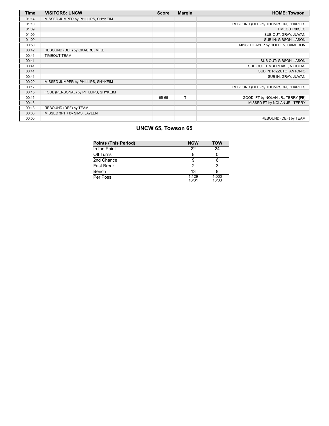| <b>Time</b> | <b>VISITORS: UNCW</b>                | <b>Score</b> | <b>Margin</b> | <b>HOME: Towson</b>                |
|-------------|--------------------------------------|--------------|---------------|------------------------------------|
| 01:14       | MISSED JUMPER by PHILLIPS, SHYKEIM   |              |               |                                    |
| 01:10       |                                      |              |               | REBOUND (DEF) by THOMPSON, CHARLES |
| 01:09       |                                      |              |               | TIMEOUT 30SEC                      |
| 01:09       |                                      |              |               | SUB OUT: GRAY, JUWAN               |
| 01:09       |                                      |              |               | SUB IN: GIBSON, JASON              |
| 00:50       |                                      |              |               | MISSED LAYUP by HOLDEN, CAMERON    |
| 00:42       | REBOUND (DEF) by OKAURU, MIKE        |              |               |                                    |
| 00:41       | <b>TIMEOUT TEAM</b>                  |              |               |                                    |
| 00:41       |                                      |              |               | SUB OUT: GIBSON, JASON             |
| 00:41       |                                      |              |               | SUB OUT: TIMBERLAKE, NICOLAS       |
| 00:41       |                                      |              |               | SUB IN: RIZZUTO, ANTONIO           |
| 00:41       |                                      |              |               | SUB IN: GRAY, JUWAN                |
| 00:20       | MISSED JUMPER by PHILLIPS, SHYKEIM   |              |               |                                    |
| 00:17       |                                      |              |               | REBOUND (DEF) by THOMPSON, CHARLES |
| 00:15       | FOUL (PERSONAL) by PHILLIPS, SHYKEIM |              |               |                                    |
| 00:15       |                                      | 65-65        | T             | GOOD! FT by NOLAN JR., TERRY [FB]  |
| 00:15       |                                      |              |               | MISSED FT by NOLAN JR., TERRY      |
| 00:13       | REBOUND (DEF) by TEAM                |              |               |                                    |
| 00:00       | MISSED 3PTR by SIMS, JAYLEN          |              |               |                                    |
| 00:00       |                                      |              |               | REBOUND (DEF) by TEAM              |

# **UNCW 65, Towson 65**

| <b>Points (This Period)</b> | <b>NCW</b>     | <b>TOW</b>     |
|-----------------------------|----------------|----------------|
| In the Paint                | 22             | 24             |
| Off Turns                   |                |                |
| 2nd Chance                  |                |                |
| <b>Fast Break</b>           |                |                |
| Bench                       | 13             |                |
| Per Poss                    | 1.129<br>16/31 | 1.000<br>16/33 |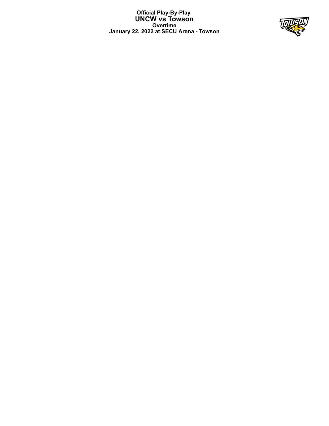**Official Play-By-Play UNCW vs Towson Overtime January 22, 2022 at SECU Arena - Towson**

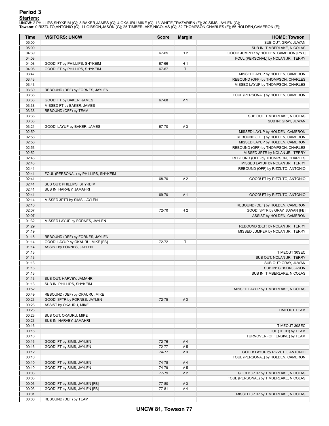# **Period 3**

<mark>Starters:</mark><br>UNCW: 2 PHILLIPS,SHYKEIM (G); 3 BAKER,JAMES (G); 4 OKAURU,MIKE (G); 13 WHITE,TRAZARIEN (F); 30 SIMS,JAYLEN (G);<br>Towson: 0 RIZZUTO,ANTONIO (G); 11 GIBSON,JASON (G); 25 TIMBERLAKE,NICOLAS (G); 32 THOMPSON,CHARLES

| Time           | <b>VISITORS: UNCW</b>                | <b>Score</b> | <b>Margin</b>  | <b>HOME: Towson</b>                           |
|----------------|--------------------------------------|--------------|----------------|-----------------------------------------------|
| 05:00          |                                      |              |                | SUB OUT: GRAY, JUWAN                          |
| 05:00          |                                      |              |                | SUB IN: TIMBERLAKE, NICOLAS                   |
| 04:39          |                                      | 67-65        | H <sub>2</sub> | GOOD! JUMPER by HOLDEN, CAMERON [PNT]         |
| 04:08          |                                      |              |                | FOUL (PERSONAL) by NOLAN JR., TERRY           |
| 04:08          | GOOD! FT by PHILLIPS, SHYKEIM        | 67-66        | H <sub>1</sub> |                                               |
| 04:08          | GOOD! FT by PHILLIPS, SHYKEIM        | 67-67        | T              |                                               |
| 03:47          |                                      |              |                | MISSED LAYUP by HOLDEN, CAMERON               |
| 03:43          |                                      |              |                | REBOUND (OFF) by THOMPSON, CHARLES            |
| 03:43          |                                      |              |                | MISSED LAYUP by THOMPSON, CHARLES             |
| 03:39<br>03:38 | REBOUND (DEF) by FORNES, JAYLEN      |              |                | FOUL (PERSONAL) by HOLDEN, CAMERON            |
| 03:38          | GOOD! FT by BAKER, JAMES             | 67-68        | V <sub>1</sub> |                                               |
| 03:38          | MISSED FT by BAKER, JAMES            |              |                |                                               |
| 03:38          | REBOUND (OFF) by TEAM                |              |                |                                               |
| 03:38          |                                      |              |                | SUB OUT: TIMBERLAKE, NICOLAS                  |
| 03:38          |                                      |              |                | SUB IN: GRAY, JUWAN                           |
| 03:21          | GOOD! LAYUP by BAKER, JAMES          | 67-70        | $V_3$          |                                               |
| 02:59          |                                      |              |                | MISSED LAYUP by HOLDEN, CAMERON               |
| 02:56          |                                      |              |                | REBOUND (OFF) by HOLDEN, CAMERON              |
| 02:56          |                                      |              |                | MISSED LAYUP by HOLDEN, CAMERON               |
| 02:53          |                                      |              |                | REBOUND (OFF) by THOMPSON, CHARLES            |
| 02:52          |                                      |              |                | MISSED 3PTR by NOLAN JR., TERRY               |
| 02:48          |                                      |              |                | REBOUND (OFF) by THOMPSON, CHARLES            |
| 02:43          |                                      |              |                | MISSED LAYUP by NOLAN JR., TERRY              |
| 02:41          |                                      |              |                | REBOUND (OFF) by RIZZUTO, ANTONIO             |
| 02:41          | FOUL (PERSONAL) by PHILLIPS, SHYKEIM |              |                |                                               |
| 02:41          |                                      | 68-70        | V <sub>2</sub> | GOOD! FT by RIZZUTO, ANTONIO                  |
| 02:41          | SUB OUT: PHILLIPS, SHYKEIM           |              |                |                                               |
| 02:41          | SUB IN: HARVEY, JAMAHRI              |              |                |                                               |
| 02:41          |                                      | 69-70        | V <sub>1</sub> | GOOD! FT by RIZZUTO, ANTONIO                  |
| 02:14          | MISSED 3PTR by SIMS, JAYLEN          |              |                |                                               |
| 02:10          |                                      |              |                | REBOUND (DEF) by HOLDEN, CAMERON              |
| 02:07          |                                      | 72-70        | H <sub>2</sub> | GOOD! 3PTR by GRAY, JUWAN [FB]                |
| 02:07          |                                      |              |                | ASSIST by HOLDEN, CAMERON                     |
| 01:32          | MISSED LAYUP by FORNES, JAYLEN       |              |                |                                               |
| 01:29          |                                      |              |                | REBOUND (DEF) by NOLAN JR., TERRY             |
| 01:19          |                                      |              |                | MISSED JUMPER by NOLAN JR., TERRY             |
| 01:15          | REBOUND (DEF) by FORNES, JAYLEN      |              |                |                                               |
| 01:14          | GOOD! LAYUP by OKAURU, MIKE [FB]     | 72-72        | T              |                                               |
| 01:14          | ASSIST by FORNES, JAYLEN             |              |                |                                               |
| 01:13          |                                      |              |                | TIMEOUT 30SEC                                 |
| 01:13<br>01:13 |                                      |              |                | SUB OUT: NOLAN JR., TERRY                     |
| 01:13          |                                      |              |                | SUB OUT: GRAY, JUWAN<br>SUB IN: GIBSON, JASON |
| 01:13          |                                      |              |                | SUB IN: TIMBERLAKE, NICOLAS                   |
| 01:13          | SUB OUT: HARVEY, JAMAHRI             |              |                |                                               |
| 01:13          | SUB IN: PHILLIPS, SHYKEIM            |              |                |                                               |
| 00:52          |                                      |              |                | MISSED LAYUP by TIMBERLAKE, NICOLAS           |
| 00:49          | REBOUND (DEF) by OKAURU, MIKE        |              |                |                                               |
| 00:23          | GOOD! 3PTR by FORNES, JAYLEN         | 72-75        | $V_3$          |                                               |
| 00:23          | ASSIST by OKAURU, MIKE               |              |                |                                               |
| 00:23          |                                      |              |                | TIMEOUT TEAM                                  |
| 00:23          | SUB OUT: OKAURU, MIKE                |              |                |                                               |
| 00:23          | SUB IN: HARVEY, JAMAHRI              |              |                |                                               |
| 00:16          |                                      |              |                | TIMEOUT 30SEC                                 |
| 00:16          |                                      |              |                | FOUL (TECH) by TEAM                           |
| 00:16          |                                      |              |                | TURNOVER (OFFENSIVE) by TEAM                  |
| 00:16          | GOOD! FT by SIMS, JAYLEN             | 72-76        | V <sub>4</sub> |                                               |
| 00:16          | GOOD! FT by SIMS, JAYLEN             | 72-77        | V <sub>5</sub> |                                               |
| 00:12          |                                      | 74-77        | $V_3$          | GOOD! LAYUP by RIZZUTO, ANTONIO               |
| 00:10          |                                      |              |                | FOUL (PERSONAL) by HOLDEN, CAMERON            |
| 00:10          | GOOD! FT by SIMS, JAYLEN             | 74-78        | V <sub>4</sub> |                                               |
| 00:10          | GOOD! FT by SIMS, JAYLEN             | 74-79        | V <sub>5</sub> |                                               |
| 00:03          |                                      | 77-79        | V <sub>2</sub> | GOOD! 3PTR by TIMBERLAKE, NICOLAS             |
| 00:03          |                                      |              |                | FOUL (PERSONAL) by TIMBERLAKE, NICOLAS        |
| 00:03          | GOOD! FT by SIMS, JAYLEN [FB]        | 77-80        | $V_3$          |                                               |
| 00:03          | GOOD! FT by SIMS, JAYLEN [FB]        | 77-81        | V <sub>4</sub> |                                               |
| 00:01          |                                      |              |                | MISSED 3PTR by TIMBERLAKE, NICOLAS            |
| 00:00          | REBOUND (DEF) by TEAM                |              |                |                                               |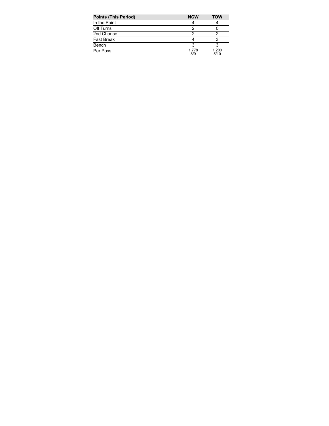| <b>Points (This Period)</b> | <b>NCW</b>   | <b>TOW</b>    |
|-----------------------------|--------------|---------------|
| In the Paint                |              |               |
| Off Turns                   |              |               |
| 2nd Chance                  |              |               |
| <b>Fast Break</b>           |              |               |
| Bench                       |              |               |
| Per Poss                    | 1.778<br>8/9 | 1.200<br>5/10 |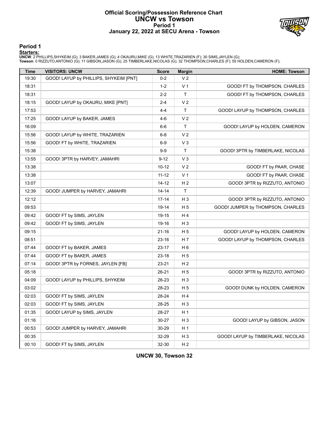# **Official Scoring/Possession Reference Chart UNCW vs Towson Period 1 January 22, 2022 at SECU Arena - Towson**



# **Period 1**

<mark>Starters:</mark><br>UNCW: 2 PHILLIPS,SHYKEIM (G); 3 BAKER,JAMES (G); 4 OKAURU,MIKE (G); 13 WHITE,TRAZARIEN (F); 30 SIMS,JAYLEN (G);<br>Towson: 0 RIZZUTO,ANTONIO (G); 11 GIBSON,JASON (G); 25 TIMBERLAKE,NICOLAS (G); 32 THOMPSON,CHARLES

| <b>Time</b> | <b>VISITORS: UNCW</b>                  | <b>Score</b> | <b>Margin</b>  | <b>HOME: Towson</b>                |
|-------------|----------------------------------------|--------------|----------------|------------------------------------|
| 19:30       | GOOD! LAYUP by PHILLIPS, SHYKEIM [PNT] | $0 - 2$      | V <sub>2</sub> |                                    |
| 18:31       |                                        | $1 - 2$      | V <sub>1</sub> | GOOD! FT by THOMPSON, CHARLES      |
| 18:31       |                                        | $2 - 2$      | T.             | GOOD! FT by THOMPSON, CHARLES      |
| 18:15       | GOOD! LAYUP by OKAURU, MIKE [PNT]      | $2 - 4$      | V <sub>2</sub> |                                    |
| 17:53       |                                        | 4-4          | T.             | GOOD! LAYUP by THOMPSON, CHARLES   |
| 17:25       | GOOD! LAYUP by BAKER, JAMES            | $4-6$        | V <sub>2</sub> |                                    |
| 16:09       |                                        | 6-6          | T.             | GOOD! LAYUP by HOLDEN, CAMERON     |
| 15:56       | GOOD! LAYUP by WHITE, TRAZARIEN        | 6-8          | V <sub>2</sub> |                                    |
| 15:56       | GOOD! FT by WHITE, TRAZARIEN           | 6-9          | $V_3$          |                                    |
| 15:38       |                                        | $9-9$        | T              | GOOD! 3PTR by TIMBERLAKE, NICOLAS  |
| 13:55       | GOOD! 3PTR by HARVEY, JAMAHRI          | $9 - 12$     | $V_3$          |                                    |
| 13:38       |                                        | 10-12        | V <sub>2</sub> | GOOD! FT by PAAR, CHASE            |
| 13:38       |                                        | $11 - 12$    | V <sub>1</sub> | GOOD! FT by PAAR, CHASE            |
| 13:07       |                                        | 14-12        | H <sub>2</sub> | GOOD! 3PTR by RIZZUTO, ANTONIO     |
| 12:39       | GOOD! JUMPER by HARVEY, JAMAHRI        | 14-14        | $\mathsf{T}$   |                                    |
| 12:12       |                                        | $17 - 14$    | $H_3$          | GOOD! 3PTR by RIZZUTO, ANTONIO     |
| 09:53       |                                        | 19-14        | H 5            | GOOD! JUMPER by THOMPSON, CHARLES  |
| 09:42       | GOOD! FT by SIMS, JAYLEN               | 19-15        | H 4            |                                    |
| 09:42       | GOOD! FT by SIMS, JAYLEN               | 19-16        | H <sub>3</sub> |                                    |
| 09:15       |                                        | 21-16        | H 5            | GOOD! LAYUP by HOLDEN, CAMERON     |
| 08:51       |                                        | 23-16        | H 7            | GOOD! LAYUP by THOMPSON, CHARLES   |
| 07:44       | GOOD! FT by BAKER, JAMES               | 23-17        | H 6            |                                    |
| 07:44       | GOOD! FT by BAKER, JAMES               | 23-18        | H <sub>5</sub> |                                    |
| 07:14       | GOOD! 3PTR by FORNES, JAYLEN [FB]      | 23-21        | H 2            |                                    |
| 05:18       |                                        | 26-21        | H <sub>5</sub> | GOOD! 3PTR by RIZZUTO, ANTONIO     |
| 04:09       | GOOD! LAYUP by PHILLIPS, SHYKEIM       | 26-23        | H <sub>3</sub> |                                    |
| 03:02       |                                        | 28-23        | H <sub>5</sub> | GOOD! DUNK by HOLDEN, CAMERON      |
| 02:03       | GOOD! FT by SIMS, JAYLEN               | 28-24        | H 4            |                                    |
| 02:03       | GOOD! FT by SIMS, JAYLEN               | 28-25        | H <sub>3</sub> |                                    |
| 01:35       | GOOD! LAYUP by SIMS, JAYLEN            | 28-27        | H <sub>1</sub> |                                    |
| 01:16       |                                        | 30-27        | $H_3$          | GOOD! LAYUP by GIBSON, JASON       |
| 00:53       | GOOD! JUMPER by HARVEY, JAMAHRI        | 30-29        | H <sub>1</sub> |                                    |
| 00:35       |                                        | 32-29        | $H_3$          | GOOD! LAYUP by TIMBERLAKE, NICOLAS |
| 00:10       | GOOD! FT by SIMS, JAYLEN               | 32-30        | H <sub>2</sub> |                                    |

**UNCW 30, Towson 32**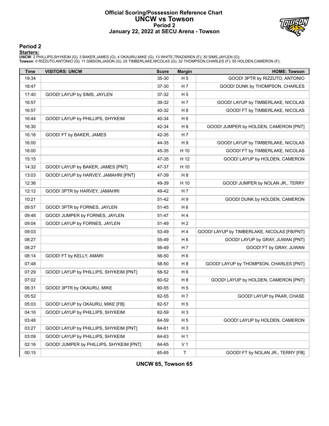# **Official Scoring/Possession Reference Chart UNCW vs Towson Period 2 January 22, 2022 at SECU Arena - Towson**



# **Period 2**

<mark>Starters:</mark><br>UNCW: 2 PHILLIPS,SHYKEIM (G); 3 BAKER,JAMES (G); 4 OKAURU,MIKE (G); 13 WHITE,TRAZARIEN (F); 30 SIMS,JAYLEN (G);<br>Towson: 0 RIZZUTO,ANTONIO (G); 11 GIBSON,JASON (G); 25 TIMBERLAKE,NICOLAS (G); 32 THOMPSON,CHARLES

| Time  | <b>VISITORS: UNCW</b>                   | <b>Score</b> | <b>Margin</b>  | <b>HOME: Towson</b>                         |
|-------|-----------------------------------------|--------------|----------------|---------------------------------------------|
| 19:34 |                                         | 35-30        | H <sub>5</sub> | GOOD! 3PTR by RIZZUTO, ANTONIO              |
| 18:47 |                                         | 37-30        | H 7            | GOOD! DUNK by THOMPSON, CHARLES             |
| 17:40 | GOOD! LAYUP by SIMS, JAYLEN             | 37-32        | H <sub>5</sub> |                                             |
| 16:57 |                                         | 39-32        | H 7            | GOOD! LAYUP by TIMBERLAKE, NICOLAS          |
| 16:57 |                                         | 40-32        | H <sub>8</sub> | GOOD! FT by TIMBERLAKE, NICOLAS             |
| 16:44 | GOOD! LAYUP by PHILLIPS, SHYKEIM        | 40-34        | H <sub>6</sub> |                                             |
| 16:30 |                                         | 42-34        | H <sub>8</sub> | GOOD! JUMPER by HOLDEN, CAMERON [PNT]       |
| 16:16 | GOOD! FT by BAKER, JAMES                | 42-35        | H 7            |                                             |
| 16:00 |                                         | 44-35        | H9             | GOOD! LAYUP by TIMBERLAKE, NICOLAS          |
| 16:00 |                                         | 45-35        | H 10           | GOOD! FT by TIMBERLAKE, NICOLAS             |
| 15:15 |                                         | 47-35        | H 12           | GOOD! LAYUP by HOLDEN, CAMERON              |
| 14:32 | GOOD! LAYUP by BAKER, JAMES [PNT]       | 47-37        | H 10           |                                             |
| 13:03 | GOOD! LAYUP by HARVEY, JAMAHRI [PNT]    | 47-39        | H <sub>8</sub> |                                             |
| 12:36 |                                         | 49-39        | H 10           | GOOD! JUMPER by NOLAN JR., TERRY            |
| 12:12 | GOOD! 3PTR by HARVEY, JAMAHRI           | 49-42        | H 7            |                                             |
| 10:21 |                                         | 51-42        | H 9            | GOOD! DUNK by HOLDEN, CAMERON               |
| 09:57 | GOOD! 3PTR by FORNES, JAYLEN            | 51-45        | H <sub>6</sub> |                                             |
| 09:48 | GOOD! JUMPER by FORNES, JAYLEN          | 51-47        | H 4            |                                             |
| 09:04 | GOOD! LAYUP by FORNES, JAYLEN           | 51-49        | H <sub>2</sub> |                                             |
| 09:03 |                                         | 53-49        | H4             | GOOD! LAYUP by TIMBERLAKE, NICOLAS [FB/PNT] |
| 08:27 |                                         | 55-49        | H <sub>6</sub> | GOOD! LAYUP by GRAY, JUWAN [PNT]            |
| 08:27 |                                         | 56-49        | H 7            | GOOD! FT by GRAY, JUWAN                     |
| 08:14 | GOOD! FT by KELLY, AMARI                | 56-50        | H <sub>6</sub> |                                             |
| 07:48 |                                         | 58-50        | H <sub>8</sub> | GOOD! LAYUP by THOMPSON, CHARLES [PNT]      |
| 07:29 | GOOD! LAYUP by PHILLIPS, SHYKEIM [PNT]  | 58-52        | H <sub>6</sub> |                                             |
| 07:02 |                                         | 60-52        | H <sub>8</sub> | GOOD! LAYUP by HOLDEN, CAMERON [PNT]        |
| 06:31 | GOOD! 3PTR by OKAURU, MIKE              | 60-55        | H <sub>5</sub> |                                             |
| 05:52 |                                         | 62-55        | H 7            | GOOD! LAYUP by PAAR, CHASE                  |
| 05:03 | GOOD! LAYUP by OKAURU, MIKE [FB]        | 62-57        | H 5            |                                             |
| 04:16 | GOOD! LAYUP by PHILLIPS, SHYKEIM        | 62-59        | H <sub>3</sub> |                                             |
| 03:48 |                                         | 64-59        | H 5            | GOOD! LAYUP by HOLDEN, CAMERON              |
| 03:27 | GOOD! LAYUP by PHILLIPS, SHYKEIM [PNT]  | 64-61        | H <sub>3</sub> |                                             |
| 03:09 | GOOD! LAYUP by PHILLIPS, SHYKEIM        | 64-63        | H 1            |                                             |
| 02:16 | GOOD! JUMPER by PHILLIPS, SHYKEIM [PNT] | 64-65        | V <sub>1</sub> |                                             |
| 00:15 |                                         | 65-65        | $\mathsf{T}$   | GOOD! FT by NOLAN JR., TERRY [FB]           |

**UNCW 65, Towson 65**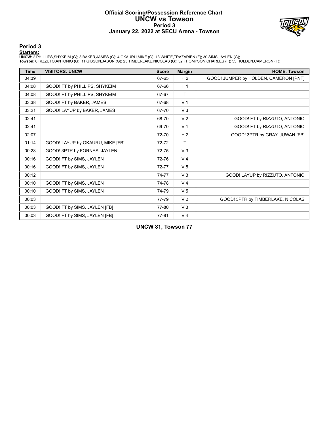# **Official Scoring/Possession Reference Chart UNCW vs Towson Period 3 January 22, 2022 at SECU Arena - Towson**



# **Period 3**

<mark>Starters:</mark><br>UNCW: 2 PHILLIPS,SHYKEIM (G); 3 BAKER,JAMES (G); 4 OKAURU,MIKE (G); 13 WHITE,TRAZARIEN (F); 30 SIMS,JAYLEN (G);<br>Towson: 0 RIZZUTO,ANTONIO (G); 11 GIBSON,JASON (G); 25 TIMBERLAKE,NICOLAS (G); 32 THOMPSON,CHARLES

| <b>Time</b> | <b>VISITORS: UNCW</b>            | <b>Score</b> | <b>Margin</b>  | <b>HOME: Towson</b>                   |
|-------------|----------------------------------|--------------|----------------|---------------------------------------|
| 04:39       |                                  | 67-65        | H <sub>2</sub> | GOOD! JUMPER by HOLDEN, CAMERON [PNT] |
| 04:08       | GOOD! FT by PHILLIPS, SHYKEIM    | 67-66        | H <sub>1</sub> |                                       |
| 04:08       | GOOD! FT by PHILLIPS, SHYKEIM    | 67-67        | $\mathsf{T}$   |                                       |
| 03:38       | GOOD! FT by BAKER, JAMES         | 67-68        | V <sub>1</sub> |                                       |
| 03:21       | GOOD! LAYUP by BAKER, JAMES      | 67-70        | $V_3$          |                                       |
| 02:41       |                                  | 68-70        | V <sub>2</sub> | GOOD! FT by RIZZUTO, ANTONIO          |
| 02:41       |                                  | 69-70        | V <sub>1</sub> | GOOD! FT by RIZZUTO, ANTONIO          |
| 02:07       |                                  | 72-70        | H <sub>2</sub> | GOOD! 3PTR by GRAY, JUWAN [FB]        |
| 01:14       | GOOD! LAYUP by OKAURU, MIKE [FB] | 72-72        | $\mathsf{T}$   |                                       |
| 00:23       | GOOD! 3PTR by FORNES, JAYLEN     | 72-75        | $V_3$          |                                       |
| 00:16       | GOOD! FT by SIMS, JAYLEN         | 72-76        | V <sub>4</sub> |                                       |
| 00:16       | GOOD! FT by SIMS, JAYLEN         | 72-77        | V <sub>5</sub> |                                       |
| 00:12       |                                  | 74-77        | $V_3$          | GOOD! LAYUP by RIZZUTO, ANTONIO       |
| 00:10       | GOOD! FT by SIMS, JAYLEN         | 74-78        | V <sub>4</sub> |                                       |
| 00:10       | GOOD! FT by SIMS, JAYLEN         | 74-79        | V <sub>5</sub> |                                       |
| 00:03       |                                  | 77-79        | V <sub>2</sub> | GOOD! 3PTR by TIMBERLAKE, NICOLAS     |
| 00:03       | GOOD! FT by SIMS, JAYLEN [FB]    | 77-80        | $V_3$          |                                       |
| 00:03       | GOOD! FT by SIMS, JAYLEN [FB]    | 77-81        | V <sub>4</sub> |                                       |

**UNCW 81, Towson 77**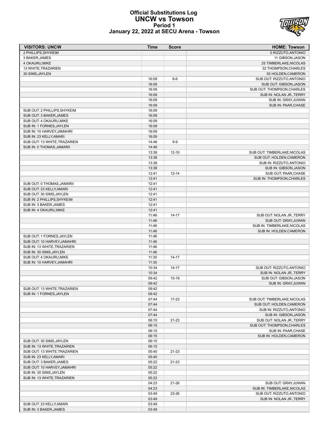## **Official Substitutions Log UNCW vs Towson Period 1 January 22, 2022 at SECU Arena - Towson**



| <b>VISITORS: UNCW</b>        | <b>Time</b> | <b>Score</b> | <b>HOME: Towson</b>          |
|------------------------------|-------------|--------------|------------------------------|
| 2 PHILLIPS, SHYKEIM          |             |              | 0 RIZZUTO, ANTONIO           |
| 3 BAKER, JAMES               |             |              | 11 GIBSON, JASON             |
| 4 OKAURU, MIKE               |             |              | 25 TIMBERLAKE, NICOLAS       |
| 13 WHITE, TRAZARIEN          |             |              | 32 THOMPSON, CHARLES         |
| 30 SIMS, JAYLEN              |             |              | 55 HOLDEN, CAMERON           |
|                              | 16:09       | $6-6$        | SUB OUT: RIZZUTO, ANTONIO    |
|                              | 16:09       |              | SUB OUT: GIBSON, JASON       |
|                              | 16:09       |              | SUB OUT: THOMPSON, CHARLES   |
|                              | 16:09       |              | SUB IN: NOLAN JR., TERRY     |
|                              | 16:09       |              | SUB IN: GRAY, JUWAN          |
|                              | 16:09       |              | SUB IN: PAAR, CHASE          |
| SUB OUT: 2 PHILLIPS, SHYKEIM | 16:09       |              |                              |
| SUB OUT: 3 BAKER, JAMES      | 16:09       |              |                              |
| SUB OUT: 4 OKAURU, MIKE      | 16:09       |              |                              |
| SUB IN: 1 FORNES, JAYLEN     | 16:09       |              |                              |
| SUB IN: 10 HARVEY, JAMAHRI   | 16:09       |              |                              |
| SUB IN: 23 KELLY, AMARI      | 16:09       |              |                              |
| SUB OUT: 13 WHITE, TRAZARIEN | 14:46       | $9-9$        |                              |
| SUB IN: 0 THOMAS, JAMARII    | 14:46       |              |                              |
|                              | 13:38       | $12 - 10$    | SUB OUT: TIMBERLAKE, NICOLAS |
|                              | 13:38       |              | SUB OUT: HOLDEN, CAMERON     |
|                              | 13:38       |              | SUB IN: RIZZUTO, ANTONIO     |
|                              | 13:38       |              | SUB IN: GIBSON, JASON        |
|                              | 12:41       | $12 - 14$    | SUB OUT: PAAR, CHASE         |
|                              | 12:41       |              | SUB IN: THOMPSON, CHARLES    |
| SUB OUT: 0 THOMAS.JAMARII    | 12:41       |              |                              |
| SUB OUT: 23 KELLY, AMARI     | 12:41       |              |                              |
| SUB OUT: 30 SIMS, JAYLEN     | 12:41       |              |                              |
| SUB IN: 2 PHILLIPS, SHYKEIM  | 12:41       |              |                              |
| SUB IN: 3 BAKER, JAMES       | 12:41       |              |                              |
| SUB IN: 4 OKAURU, MIKE       | 12:41       |              |                              |
|                              | 11:46       | $14 - 17$    | SUB OUT: NOLAN JR., TERRY    |
|                              | 11:46       |              | SUB OUT: GRAY, JUWAN         |
|                              | 11:46       |              | SUB IN: TIMBERLAKE, NICOLAS  |
|                              | 11:46       |              | SUB IN: HOLDEN, CAMERON      |
| SUB OUT: 1 FORNES, JAYLEN    | 11:46       |              |                              |
| SUB OUT: 10 HARVEY, JAMAHRI  | 11:46       |              |                              |
| SUB IN: 13 WHITE, TRAZARIEN  | 11:46       |              |                              |
| SUB IN: 30 SIMS, JAYLEN      | 11:46       |              |                              |
| SUB OUT: 4 OKAURU, MIKE      | 11:30       | $14 - 17$    |                              |
| SUB IN: 10 HARVEY, JAMAHRI   | 11:30       |              |                              |
|                              | 10:34       | $14 - 17$    | SUB OUT: RIZZUTO, ANTONIO    |
|                              | 10:34       |              | SUB IN: NOLAN JR., TERRY     |
|                              | 09:42       | 15-19        | SUB OUT: GIBSON, JASON       |
|                              | 09:42       |              | SUB IN: GRAY.JUWAN           |
| SUB OUT: 13 WHITE, TRAZARIEN | 09:42       |              |                              |
| SUB IN: 1 FORNES, JAYLEN     | 09:42       |              |                              |
|                              | 07:44       | 17-23        | SUB OUT: TIMBERLAKE, NICOLAS |
|                              | 07:44       |              | SUB OUT: HOLDEN, CAMERON     |
|                              | 07:44       |              | SUB IN: RIZZUTO, ANTONIO     |
|                              | 07:44       |              | SUB IN: GIBSON, JASON        |
|                              | 06:15       | $21 - 23$    | SUB OUT: NOLAN JR., TERRY    |
|                              | 06:15       |              | SUB OUT: THOMPSON, CHARLES   |
|                              | 06:15       |              | SUB IN: PAAR, CHASE          |
|                              | 06:15       |              | SUB IN: HOLDEN, CAMERON      |
| SUB OUT: 30 SIMS, JAYLEN     | 06:15       |              |                              |
| SUB IN: 13 WHITE, TRAZARIEN  | 06:15       |              |                              |
| SUB OUT: 13 WHITE, TRAZARIEN | 05:40       | $21 - 23$    |                              |
| SUB IN: 23 KELLY, AMARI      | 05:40       |              |                              |
| SUB OUT: 3 BAKER, JAMES      | 05:22       | $21 - 23$    |                              |
| SUB OUT: 10 HARVEY, JAMAHRI  | 05:22       |              |                              |
| SUB IN: 30 SIMS, JAYLEN      | 05:22       |              |                              |
| SUB IN: 13 WHITE, TRAZARIEN  | 05:22       |              |                              |
|                              | 04:23       | $21 - 26$    | SUB OUT: GRAY, JUWAN         |
|                              | 04:23       |              | SUB IN: TIMBERLAKE, NICOLAS  |
|                              | 03:49       | 23-26        | SUB OUT: RIZZUTO, ANTONIO    |
|                              | 03:49       |              | SUB IN: NOLAN JR., TERRY     |
| SUB OUT: 23 KELLY, AMARI     | 03:49       |              |                              |
| SUB IN: 3 BAKER, JAMES       | 03:49       |              |                              |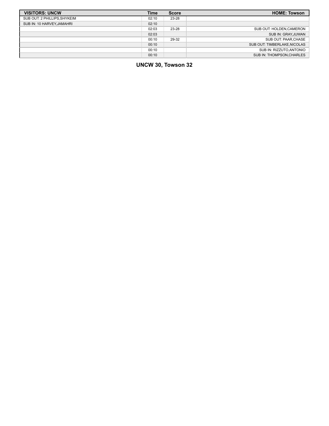| <b>VISITORS: UNCW</b>        | <b>Time</b> | <b>Score</b> | <b>HOME: Towson</b>          |
|------------------------------|-------------|--------------|------------------------------|
| SUB OUT: 2 PHILLIPS, SHYKEIM | 02:10       | 23-28        |                              |
| SUB IN: 10 HARVEY, JAMAHRI   | 02:10       |              |                              |
|                              | 02:03       | 23-28        | SUB OUT: HOLDEN, CAMERON     |
|                              | 02:03       |              | SUB IN: GRAY, JUWAN          |
|                              | 00:10       | 29-32        | SUB OUT: PAAR, CHASE         |
|                              | 00:10       |              | SUB OUT: TIMBERLAKE, NICOLAS |
|                              | 00:10       |              | SUB IN: RIZZUTO, ANTONIO     |
|                              | 00:10       |              | SUB IN: THOMPSON, CHARLES    |

**UNCW 30, Towson 32**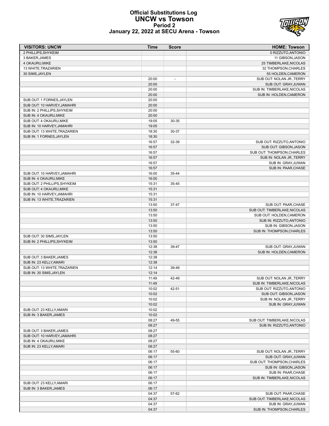## **Official Substitutions Log UNCW vs Towson Period 2 January 22, 2022 at SECU Arena - Towson**



| <b>VISITORS: UNCW</b>                                 | Time           | <b>Score</b>             | <b>HOME: Towson</b>          |
|-------------------------------------------------------|----------------|--------------------------|------------------------------|
| 2 PHILLIPS.SHYKEIM                                    |                |                          | 0 RIZZUTO, ANTONIO           |
| 3 BAKER, JAMES                                        |                |                          | 11 GIBSON, JASON             |
| 4 OKAURU.MIKE                                         |                |                          | 25 TIMBERLAKE, NICOLAS       |
| 13 WHITE, TRAZARIEN                                   |                |                          | 32 THOMPSON, CHARLES         |
| 30 SIMS, JAYLEN                                       |                |                          | 55 HOLDEN, CAMERON           |
|                                                       | 20:00          | $\overline{\phantom{a}}$ | SUB OUT: NOLAN JR., TERRY    |
|                                                       | 20:00          |                          | SUB OUT: GRAY, JUWAN         |
|                                                       | 20:00          |                          | SUB IN: TIMBERLAKE, NICOLAS  |
|                                                       | 20:00          |                          | SUB IN: HOLDEN, CAMERON      |
| SUB OUT: 1 FORNES, JAYLEN                             | 20:00          |                          |                              |
| SUB OUT: 10 HARVEY, JAMAHRI                           | 20:00          |                          |                              |
| SUB IN: 2 PHILLIPS, SHYKEIM                           | 20:00          |                          |                              |
| SUB IN: 4 OKAURU, MIKE                                | 20:00          |                          |                              |
| SUB OUT: 4 OKAURU, MIKE<br>SUB IN: 10 HARVEY, JAMAHRI | 19:05<br>19:05 | 30-35                    |                              |
| SUB OUT: 13 WHITE, TRAZARIEN                          | 18:30          | 30-37                    |                              |
| SUB IN: 1 FORNES, JAYLEN                              | 18:30          |                          |                              |
|                                                       | 16:57          | 32-39                    | SUB OUT: RIZZUTO, ANTONIO    |
|                                                       | 16:57          |                          | SUB OUT: GIBSON, JASON       |
|                                                       | 16:57          |                          | SUB OUT: THOMPSON, CHARLES   |
|                                                       | 16:57          |                          | SUB IN: NOLAN JR., TERRY     |
|                                                       | 16:57          |                          | SUB IN: GRAY, JUWAN          |
|                                                       | 16:57          |                          | SUB IN: PAAR, CHASE          |
| SUB OUT: 10 HARVEY, JAMAHRI                           | 16:00          | 35-44                    |                              |
| SUB IN: 4 OKAURU, MIKE                                | 16:00          |                          |                              |
| SUB OUT: 2 PHILLIPS, SHYKEIM                          | 15:31          | 35-45                    |                              |
| SUB OUT: 4 OKAURU, MIKE                               | 15:31          |                          |                              |
| SUB IN: 10 HARVEY, JAMAHRI                            | 15:31          |                          |                              |
| SUB IN: 13 WHITE, TRAZARIEN                           | 15:31          |                          |                              |
|                                                       | 13:50          | 37-47                    | SUB OUT: PAAR, CHASE         |
|                                                       | 13:50          |                          | SUB OUT: TIMBERLAKE, NICOLAS |
|                                                       | 13:50          |                          | SUB OUT: HOLDEN, CAMERON     |
|                                                       | 13:50          |                          | SUB IN: RIZZUTO, ANTONIO     |
|                                                       | 13:50          |                          | SUB IN: GIBSON, JASON        |
|                                                       | 13:50          |                          | SUB IN: THOMPSON, CHARLES    |
| SUB OUT: 30 SIMS, JAYLEN                              | 13:50          |                          |                              |
| SUB IN: 2 PHILLIPS, SHYKEIM                           | 13:50          |                          |                              |
|                                                       | 12:38          | 39-47                    | SUB OUT: GRAY, JUWAN         |
|                                                       | 12:38          |                          | SUB IN: HOLDEN, CAMERON      |
| SUB OUT: 3 BAKER, JAMES                               | 12:38          |                          |                              |
| SUB IN: 23 KELLY, AMARI                               | 12:38          |                          |                              |
| SUB OUT: 13 WHITE, TRAZARIEN                          | 12:14          | 39-49                    |                              |
| SUB IN: 30 SIMS, JAYLEN                               | 12:14          |                          |                              |
|                                                       | 11:49          | 42-49                    | SUB OUT: NOLAN JR., TERRY    |
|                                                       | 11:49          |                          | SUB IN: TIMBERLAKE, NICOLAS  |
|                                                       | 10:02          | 42-51                    | SUB OUT: RIZZUTO, ANTONIO    |
|                                                       | 10:02          |                          | SUB OUT: GIBSON.JASON        |
|                                                       | 10:02          |                          | SUB IN: NOLAN JR., TERRY     |
|                                                       | 10:02<br>10:02 |                          | SUB IN: GRAY, JUWAN          |
| SUB OUT: 23 KELLY, AMARI<br>SUB IN: 3 BAKER, JAMES    | 10:02          |                          |                              |
|                                                       | 08:27          | 49-55                    | SUB OUT: TIMBERLAKE, NICOLAS |
|                                                       | 08:27          |                          | SUB IN: RIZZUTO, ANTONIO     |
| SUB OUT: 3 BAKER, JAMES                               | 08:27          |                          |                              |
| SUB OUT: 10 HARVEY, JAMAHRI                           | 08:27          |                          |                              |
| SUB IN: 4 OKAURU, MIKE                                | 08:27          |                          |                              |
| SUB IN: 23 KELLY, AMARI                               | 08:27          |                          |                              |
|                                                       | 06:17          | 55-60                    | SUB OUT: NOLAN JR., TERRY    |
|                                                       | 06:17          |                          | SUB OUT: GRAY, JUWAN         |
|                                                       | 06:17          |                          | SUB OUT: THOMPSON, CHARLES   |
|                                                       | 06:17          |                          | SUB IN: GIBSON, JASON        |
|                                                       | 06:17          |                          | SUB IN: PAAR, CHASE          |
|                                                       | 06:17          |                          | SUB IN: TIMBERLAKE, NICOLAS  |
| SUB OUT: 23 KELLY, AMARI                              | 06:17          |                          |                              |
| SUB IN: 3 BAKER, JAMES                                | 06:17          |                          |                              |
|                                                       | 04:37          | 57-62                    | SUB OUT: PAAR, CHASE         |
|                                                       | 04:37          |                          | SUB OUT: TIMBERLAKE, NICOLAS |
|                                                       | 04:37          |                          | SUB IN: GRAY, JUWAN          |
|                                                       | 04:37          |                          | SUB IN: THOMPSON, CHARLES    |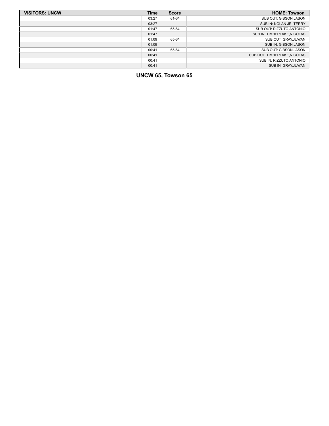| <b>VISITORS: UNCW</b> | <b>Time</b> | <b>Score</b> | <b>HOME: Towson</b>          |
|-----------------------|-------------|--------------|------------------------------|
|                       | 03:27       | 61-64        | SUB OUT: GIBSON, JASON       |
|                       | 03:27       |              | SUB IN: NOLAN JR., TERRY     |
|                       | 01:47       | 65-64        | SUB OUT: RIZZUTO, ANTONIO    |
|                       | 01:47       |              | SUB IN: TIMBERLAKE, NICOLAS  |
|                       | 01:09       | 65-64        | SUB OUT: GRAY, JUWAN         |
|                       | 01:09       |              | SUB IN: GIBSON, JASON        |
|                       | 00:41       | 65-64        | SUB OUT: GIBSON, JASON       |
|                       | 00:41       |              | SUB OUT: TIMBERLAKE, NICOLAS |
|                       | 00:41       |              | SUB IN: RIZZUTO, ANTONIO     |
|                       | 00:41       |              | SUB IN: GRAY, JUWAN          |

# **UNCW 65, Towson 65**